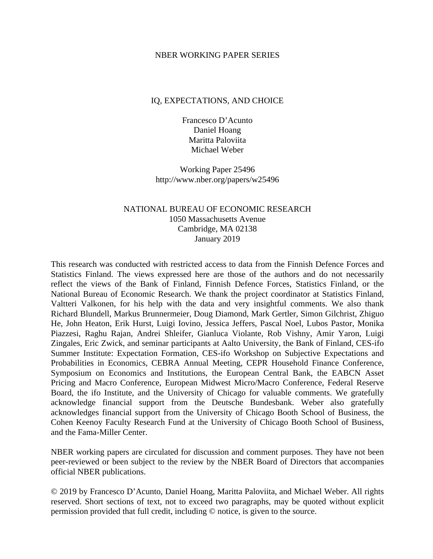#### NBER WORKING PAPER SERIES

#### IQ, EXPECTATIONS, AND CHOICE

Francesco D'Acunto Daniel Hoang Maritta Paloviita Michael Weber

Working Paper 25496 http://www.nber.org/papers/w25496

## NATIONAL BUREAU OF ECONOMIC RESEARCH 1050 Massachusetts Avenue Cambridge, MA 02138 January 2019

This research was conducted with restricted access to data from the Finnish Defence Forces and Statistics Finland. The views expressed here are those of the authors and do not necessarily reflect the views of the Bank of Finland, Finnish Defence Forces, Statistics Finland, or the National Bureau of Economic Research. We thank the project coordinator at Statistics Finland, Valtteri Valkonen, for his help with the data and very insightful comments. We also thank Richard Blundell, Markus Brunnermeier, Doug Diamond, Mark Gertler, Simon Gilchrist, Zhiguo He, John Heaton, Erik Hurst, Luigi Iovino, Jessica Jeffers, Pascal Noel, Lubos Pastor, Monika Piazzesi, Raghu Rajan, Andrei Shleifer, Gianluca Violante, Rob Vishny, Amir Yaron, Luigi Zingales, Eric Zwick, and seminar participants at Aalto University, the Bank of Finland, CES-ifo Summer Institute: Expectation Formation, CES-ifo Workshop on Subjective Expectations and Probabilities in Economics, CEBRA Annual Meeting, CEPR Household Finance Conference, Symposium on Economics and Institutions, the European Central Bank, the EABCN Asset Pricing and Macro Conference, European Midwest Micro/Macro Conference, Federal Reserve Board, the ifo Institute, and the University of Chicago for valuable comments. We gratefully acknowledge financial support from the Deutsche Bundesbank. Weber also gratefully acknowledges financial support from the University of Chicago Booth School of Business, the Cohen Keenoy Faculty Research Fund at the University of Chicago Booth School of Business, and the Fama-Miller Center.

NBER working papers are circulated for discussion and comment purposes. They have not been peer-reviewed or been subject to the review by the NBER Board of Directors that accompanies official NBER publications.

© 2019 by Francesco D'Acunto, Daniel Hoang, Maritta Paloviita, and Michael Weber. All rights reserved. Short sections of text, not to exceed two paragraphs, may be quoted without explicit permission provided that full credit, including © notice, is given to the source.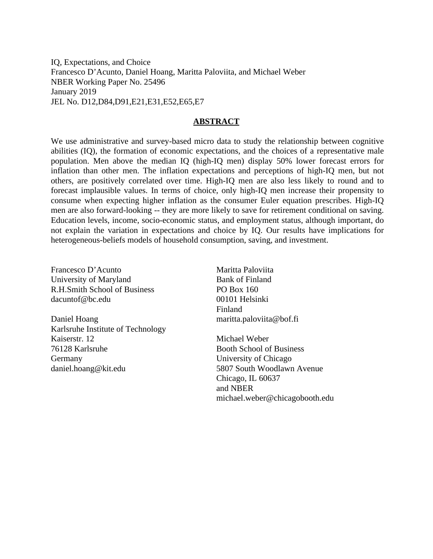IQ, Expectations, and Choice Francesco D'Acunto, Daniel Hoang, Maritta Paloviita, and Michael Weber NBER Working Paper No. 25496 January 2019 JEL No. D12,D84,D91,E21,E31,E52,E65,E7

#### **ABSTRACT**

We use administrative and survey-based micro data to study the relationship between cognitive abilities (IQ), the formation of economic expectations, and the choices of a representative male population. Men above the median IQ (high-IQ men) display 50% lower forecast errors for inflation than other men. The inflation expectations and perceptions of high-IQ men, but not others, are positively correlated over time. High-IQ men are also less likely to round and to forecast implausible values. In terms of choice, only high-IQ men increase their propensity to consume when expecting higher inflation as the consumer Euler equation prescribes. High-IQ men are also forward-looking -- they are more likely to save for retirement conditional on saving. Education levels, income, socio-economic status, and employment status, although important, do not explain the variation in expectations and choice by IQ. Our results have implications for heterogeneous-beliefs models of household consumption, saving, and investment.

Francesco D'Acunto University of Maryland R.H.Smith School of Business dacuntof@bc.edu

Daniel Hoang Karlsruhe Institute of Technology Kaiserstr. 12 76128 Karlsruhe Germany daniel.hoang@kit.edu

Maritta Paloviita Bank of Finland PO Box 160 00101 Helsinki Finland maritta.paloviita@bof.fi

Michael Weber Booth School of Business University of Chicago 5807 South Woodlawn Avenue Chicago, IL 60637 and NBER michael.weber@chicagobooth.edu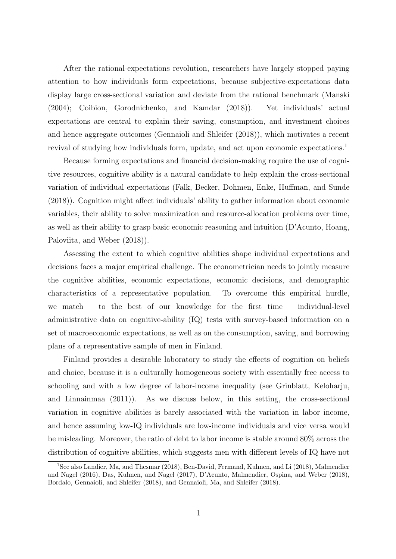After the rational-expectations revolution, researchers have largely stopped paying attention to how individuals form expectations, because subjective-expectations data display large cross-sectional variation and deviate from the rational benchmark [\(Manski](#page-28-0) [\(2004\)](#page-28-0); [Coibion, Gorodnichenko, and Kamdar](#page-27-0) [\(2018\)](#page-27-0)). Yet individuals' actual expectations are central to explain their saving, consumption, and investment choices and hence aggregate outcomes [\(Gennaioli and Shleifer](#page-27-1) [\(2018\)](#page-27-1)), which motivates a recent revival of studying how individuals form, update, and act upon economic expectations.<sup>[1](#page--1-0)</sup>

Because forming expectations and financial decision-making require the use of cognitive resources, cognitive ability is a natural candidate to help explain the cross-sectional variation of individual expectations [\(Falk, Becker, Dohmen, Enke, Huffman, and Sunde](#page-27-2) [\(2018\)](#page-27-2)). Cognition might affect individuals' ability to gather information about economic variables, their ability to solve maximization and resource-allocation problems over time, as well as their ability to grasp basic economic reasoning and intuition [\(D'Acunto, Hoang,](#page-27-3) [Paloviita, and Weber](#page-27-3) [\(2018\)](#page-27-3)).

Assessing the extent to which cognitive abilities shape individual expectations and decisions faces a major empirical challenge. The econometrician needs to jointly measure the cognitive abilities, economic expectations, economic decisions, and demographic characteristics of a representative population. To overcome this empirical hurdle, we match – to the best of our knowledge for the first time – individual-level administrative data on cognitive-ability (IQ) tests with survey-based information on a set of macroeconomic expectations, as well as on the consumption, saving, and borrowing plans of a representative sample of men in Finland.

Finland provides a desirable laboratory to study the effects of cognition on beliefs and choice, because it is a culturally homogeneous society with essentially free access to schooling and with a low degree of labor-income inequality (see [Grinblatt, Keloharju,](#page-27-4) [and Linnainmaa](#page-27-4) [\(2011\)](#page-27-4)). As we discuss below, in this setting, the cross-sectional variation in cognitive abilities is barely associated with the variation in labor income, and hence assuming low-IQ individuals are low-income individuals and vice versa would be misleading. Moreover, the ratio of debt to labor income is stable around 80% across the distribution of cognitive abilities, which suggests men with different levels of IQ have not

<sup>&</sup>lt;sup>1</sup>See also [Landier, Ma, and Thesmar](#page-28-1) [\(2018\)](#page-27-5), [Ben-David, Fermand, Kuhnen, and Li](#page-27-5) (2018), [Malmendier](#page-28-2) [and Nagel](#page-28-2) [\(2016\)](#page-28-2), [Das, Kuhnen, and Nagel](#page-27-6) [\(2017\)](#page-27-6), [D'Acunto, Malmendier, Ospina, and Weber](#page-27-7) [\(2018\)](#page-27-7), [Bordalo, Gennaioli, and Shleifer](#page-27-8) [\(2018\)](#page-27-8), and [Gennaioli, Ma, and Shleifer](#page-27-9) [\(2018\)](#page-27-9).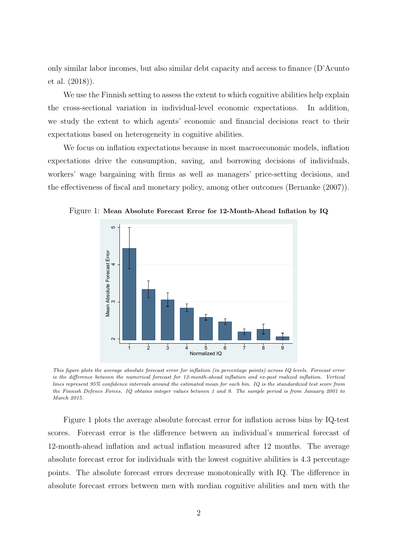only similar labor incomes, but also similar debt capacity and access to finance [\(D'Acunto](#page-27-3) [et al.](#page-27-3) [\(2018\)](#page-27-3)).

We use the Finnish setting to assess the extent to which cognitive abilities help explain the cross-sectional variation in individual-level economic expectations. In addition, we study the extent to which agents' economic and financial decisions react to their expectations based on heterogeneity in cognitive abilities.

We focus on inflation expectations because in most macroeconomic models, inflation expectations drive the consumption, saving, and borrowing decisions of individuals, workers' wage bargaining with firms as well as managers' price-setting decisions, and the effectiveness of fiscal and monetary policy, among other outcomes [\(Bernanke](#page-27-10) [\(2007\)](#page-27-10)).



<span id="page-3-0"></span>

This figure plots the average absolute forecast error for inflation (in percentage points) across IQ levels. Forecast error is the difference between the numerical forecast for 12-month-ahead inflation and ex-post realized inflation. Vertical lines represent 95% confidence intervals around the estimated mean for each bin. IQ is the standardized test score from the Finnish Defence Forces. IQ obtains integer values between 1 and 9. The sample period is from January 2001 to March 2015.

Figure [1](#page-3-0) plots the average absolute forecast error for inflation across bins by IQ-test scores. Forecast error is the difference between an individual's numerical forecast of 12-month-ahead inflation and actual inflation measured after 12 months. The average absolute forecast error for individuals with the lowest cognitive abilities is 4.3 percentage points. The absolute forecast errors decrease monotonically with IQ. The difference in absolute forecast errors between men with median cognitive abilities and men with the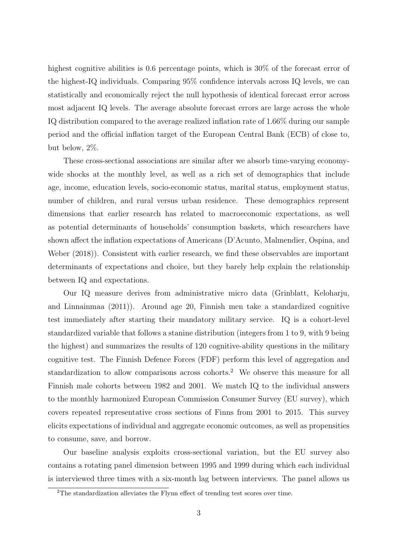highest cognitive abilities is 0.6 percentage points, which is  $30\%$  of the forecast error of the highest-IQ individuals. Comparing 95% confidence intervals across IQ levels, we can statistically and economically reject the null hypothesis of identical forecast error across most adjacent IQ levels. The average absolute forecast errors are large across the whole IQ distribution compared to the average realized inflation rate of 1.66% during our sample period and the official inflation target of the European Central Bank (ECB) of close to, but below, 2%.

These cross-sectional associations are similar after we absorb time-varying economywide shocks at the monthly level, as well as a rich set of demographics that include age, income, education levels, socio-economic status, marital status, employment status, number of children, and rural versus urban residence. These demographics represent dimensions that earlier research has related to macroeconomic expectations, as well as potential determinants of households' consumption baskets, which researchers have shown affect the inflation expectations of Americans [\(D'Acunto, Malmendier, Ospina, and](#page-27-7) [Weber](#page-27-7) [\(2018\)](#page-27-7)). Consistent with earlier research, we find these observables are important determinants of expectations and choice, but they barely help explain the relationship between IQ and expectations.

Our IQ measure derives from administrative micro data [\(Grinblatt, Keloharju,](#page-27-4) [and Linnainmaa](#page-27-4) [\(2011\)](#page-27-4)). Around age 20, Finnish men take a standardized cognitive test immediately after starting their mandatory military service. IQ is a cohort-level standardized variable that follows a stanine distribution (integers from 1 to 9, with 9 being the highest) and summarizes the results of 120 cognitive-ability questions in the military cognitive test. The Finnish Defence Forces (FDF) perform this level of aggregation and standardization to allow comparisons across cohorts.[2](#page--1-0) We observe this measure for all Finnish male cohorts between 1982 and 2001. We match IQ to the individual answers to the monthly harmonized European Commission Consumer Survey (EU survey), which covers repeated representative cross sections of Finns from 2001 to 2015. This survey elicits expectations of individual and aggregate economic outcomes, as well as propensities to consume, save, and borrow.

Our baseline analysis exploits cross-sectional variation, but the EU survey also contains a rotating panel dimension between 1995 and 1999 during which each individual is interviewed three times with a six-month lag between interviews. The panel allows us

<sup>2</sup>The standardization alleviates the Flynn effect of trending test scores over time.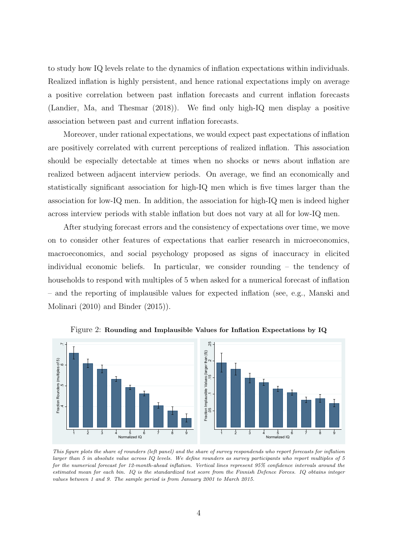to study how IQ levels relate to the dynamics of inflation expectations within individuals. Realized inflation is highly persistent, and hence rational expectations imply on average a positive correlation between past inflation forecasts and current inflation forecasts [\(Landier, Ma, and Thesmar](#page-28-1) [\(2018\)](#page-28-1)). We find only high-IQ men display a positive association between past and current inflation forecasts.

Moreover, under rational expectations, we would expect past expectations of inflation are positively correlated with current perceptions of realized inflation. This association should be especially detectable at times when no shocks or news about inflation are realized between adjacent interview periods. On average, we find an economically and statistically significant association for high-IQ men which is five times larger than the association for low-IQ men. In addition, the association for high-IQ men is indeed higher across interview periods with stable inflation but does not vary at all for low-IQ men.

After studying forecast errors and the consistency of expectations over time, we move on to consider other features of expectations that earlier research in microeconomics, macroeconomics, and social psychology proposed as signs of inaccuracy in elicited individual economic beliefs. In particular, we consider rounding – the tendency of households to respond with multiples of 5 when asked for a numerical forecast of inflation – and the reporting of implausible values for expected inflation (see, e.g., [Manski and](#page-28-3) [Molinari](#page-28-3) [\(2010\)](#page-28-3) and [Binder](#page-27-11) [\(2015\)](#page-27-11)).



<span id="page-5-0"></span>Figure 2: Rounding and Implausible Values for Inflation Expectations by IQ

This figure plots the share of rounders (left panel) and the share of survey respondends who report forecasts for inflation larger than 5 in absolute value across IQ levels. We define rounders as survey participants who report multiples of 5 for the numerical forecast for 12-month-ahead inflation. Vertical lines represent 95% confidence intervals around the estimated mean for each bin. IQ is the standardized test score from the Finnish Defence Forces. IQ obtains integer values between 1 and 9. The sample period is from January 2001 to March 2015.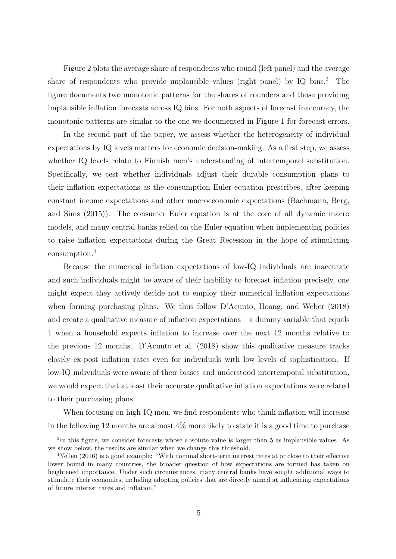Figure [2](#page-5-0) plots the average share of respondents who round (left panel) and the average share of respondents who provide implausible values (right panel) by IQ bins.[3](#page--1-0) The figure documents two monotonic patterns for the shares of rounders and those providing implausible inflation forecasts across IQ bins. For both aspects of forecast inaccuracy, the monotonic patterns are similar to the one we documented in Figure [1](#page-3-0) for forecast errors.

In the second part of the paper, we assess whether the heterogeneity of individual expectations by IQ levels matters for economic decision-making. As a first step, we assess whether IQ levels relate to Finnish men's understanding of intertemporal substitution. Specifically, we test whether individuals adjust their durable consumption plans to their inflation expectations as the consumption Euler equation prescribes, after keeping constant income expectations and other macroeconomic expectations [\(Bachmann, Berg,](#page-27-12) [and Sims](#page-27-12) [\(2015\)](#page-27-12)). The consumer Euler equation is at the core of all dynamic macro models, and many central banks relied on the Euler equation when implementing policies to raise inflation expectations during the Great Recession in the hope of stimulating consumption.[4](#page--1-0)

Because the numerical inflation expectations of low-IQ individuals are inaccurate and such individuals might be aware of their inability to forecast inflation precisely, one might expect they actively decide not to employ their numerical inflation expectations when forming purchasing plans. We thus follow [D'Acunto, Hoang, and Weber](#page-27-13) [\(2018\)](#page-27-13) and create a qualitative measure of inflation expectations – a dummy variable that equals 1 when a household expects inflation to increase over the next 12 months relative to the previous 12 months. [D'Acunto et al.](#page-27-13) [\(2018\)](#page-27-13) show this qualitative measure tracks closely ex-post inflation rates even for individuals with low levels of sophistication. If low-IQ individuals were aware of their biases and understood intertemporal substitution, we would expect that at least their accurate qualitative inflation expectations were related to their purchasing plans.

When focusing on high-IQ men, we find respondents who think inflation will increase in the following 12 months are almost  $4\%$  more likely to state it is a good time to purchase

<sup>&</sup>lt;sup>3</sup>In this figure, we consider forecasts whose absolute value is larger than 5 as implausible values. As we show below, the results are similar when we change this threshold.

<sup>4</sup>[Yellen](#page-28-4) [\(2016\)](#page-28-4) is a good example: "With nominal short-term interest rates at or close to their effective lower bound in many countries, the broader question of how expectations are formed has taken on heightened importance. Under such circumstances, many central banks have sought additional ways to stimulate their economies, including adopting policies that are directly aimed at influencing expectations of future interest rates and inflation."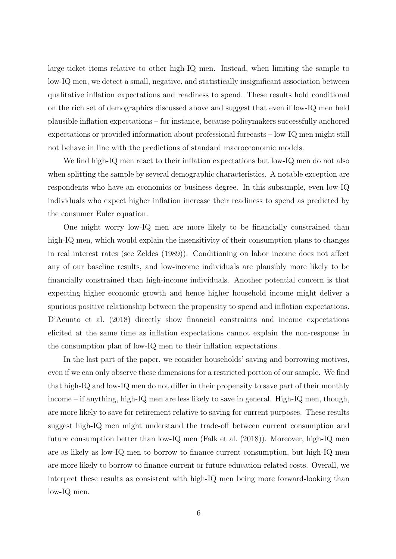large-ticket items relative to other high-IQ men. Instead, when limiting the sample to low-IQ men, we detect a small, negative, and statistically insignificant association between qualitative inflation expectations and readiness to spend. These results hold conditional on the rich set of demographics discussed above and suggest that even if low-IQ men held plausible inflation expectations – for instance, because policymakers successfully anchored expectations or provided information about professional forecasts – low-IQ men might still not behave in line with the predictions of standard macroeconomic models.

We find high-IQ men react to their inflation expectations but low-IQ men do not also when splitting the sample by several demographic characteristics. A notable exception are respondents who have an economics or business degree. In this subsample, even low-IQ individuals who expect higher inflation increase their readiness to spend as predicted by the consumer Euler equation.

One might worry low-IQ men are more likely to be financially constrained than high-IQ men, which would explain the insensitivity of their consumption plans to changes in real interest rates (see [Zeldes](#page-28-5) [\(1989\)](#page-28-5)). Conditioning on labor income does not affect any of our baseline results, and low-income individuals are plausibly more likely to be financially constrained than high-income individuals. Another potential concern is that expecting higher economic growth and hence higher household income might deliver a spurious positive relationship between the propensity to spend and inflation expectations. [D'Acunto et al.](#page-27-3) [\(2018\)](#page-27-3) directly show financial constraints and income expectations elicited at the same time as inflation expectations cannot explain the non-response in the consumption plan of low-IQ men to their inflation expectations.

In the last part of the paper, we consider households' saving and borrowing motives, even if we can only observe these dimensions for a restricted portion of our sample. We find that high-IQ and low-IQ men do not differ in their propensity to save part of their monthly income – if anything, high-IQ men are less likely to save in general. High-IQ men, though, are more likely to save for retirement relative to saving for current purposes. These results suggest high-IQ men might understand the trade-off between current consumption and future consumption better than low-IQ men [\(Falk et al.](#page-27-2) [\(2018\)](#page-27-2)). Moreover, high-IQ men are as likely as low-IQ men to borrow to finance current consumption, but high-IQ men are more likely to borrow to finance current or future education-related costs. Overall, we interpret these results as consistent with high-IQ men being more forward-looking than low-IQ men.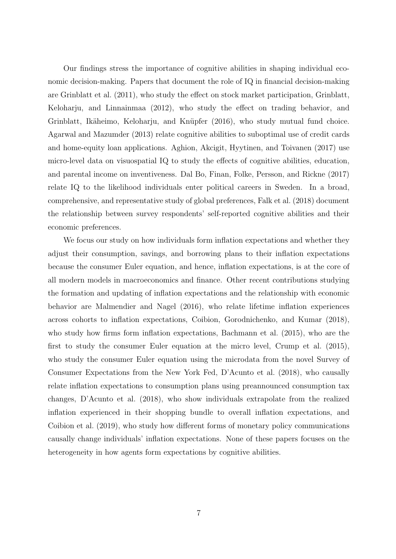Our findings stress the importance of cognitive abilities in shaping individual economic decision-making. Papers that document the role of IQ in financial decision-making are [Grinblatt et al.](#page-27-4) [\(2011\)](#page-27-4), who study the effect on stock market participation, [Grinblatt,](#page-28-6) [Keloharju, and Linnainmaa](#page-28-6) [\(2012\)](#page-28-6), who study the effect on trading behavior, and Grinblatt, Ikäheimo, Keloharju, and Knüpfer [\(2016\)](#page-27-14), who study mutual fund choice. [Agarwal and Mazumder](#page-27-15) [\(2013\)](#page-27-15) relate cognitive abilities to suboptimal use of credit cards and home-equity loan applications. [Aghion, Akcigit, Hyytinen, and Toivanen](#page-27-16) [\(2017\)](#page-27-16) use micro-level data on visuospatial IQ to study the effects of cognitive abilities, education, and parental income on inventiveness. [Dal Bo, Finan, Folke, Persson, and Rickne](#page-27-17) [\(2017\)](#page-27-17) relate IQ to the likelihood individuals enter political careers in Sweden. In a broad, comprehensive, and representative study of global preferences, [Falk et al.](#page-27-2) [\(2018\)](#page-27-2) document the relationship between survey respondents' self-reported cognitive abilities and their economic preferences.

We focus our study on how individuals form inflation expectations and whether they adjust their consumption, savings, and borrowing plans to their inflation expectations because the consumer Euler equation, and hence, inflation expectations, is at the core of all modern models in macroeconomics and finance. Other recent contributions studying the formation and updating of inflation expectations and the relationship with economic behavior are [Malmendier and Nagel](#page-28-2) [\(2016\)](#page-28-2), who relate lifetime inflation experiences across cohorts to inflation expectations, [Coibion, Gorodnichenko, and Kumar](#page-27-18) [\(2018\)](#page-27-18), who study how firms form inflation expectations, [Bachmann et al.](#page-27-12) [\(2015\)](#page-27-12), who are the first to study the consumer Euler equation at the micro level, [Crump et al.](#page-27-19) [\(2015\)](#page-27-19), who study the consumer Euler equation using the microdata from the novel Survey of Consumer Expectations from the New York Fed, [D'Acunto et al.](#page-27-13) [\(2018\)](#page-27-13), who causally relate inflation expectations to consumption plans using preannounced consumption tax changes, [D'Acunto et al.](#page-27-7) [\(2018\)](#page-27-7), who show individuals extrapolate from the realized inflation experienced in their shopping bundle to overall inflation expectations, and [Coibion et al.](#page-27-20) [\(2019\)](#page-27-20), who study how different forms of monetary policy communications causally change individuals' inflation expectations. None of these papers focuses on the heterogeneity in how agents form expectations by cognitive abilities.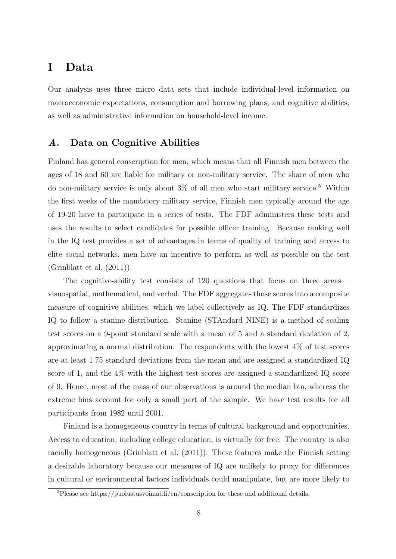# I Data

Our analysis uses three micro data sets that include individual-level information on macroeconomic expectations, consumption and borrowing plans, and cognitive abilities, as well as administrative information on household-level income.

# A. Data on Cognitive Abilities

Finland has general conscription for men, which means that all Finnish men between the ages of 18 and 60 are liable for military or non-military service. The share of men who do non-military service is only about  $3\%$  of all men who start military service.<sup>[5](#page--1-0)</sup> Within the first weeks of the mandatory military service, Finnish men typically around the age of 19-20 have to participate in a series of tests. The FDF administers these tests and uses the results to select candidates for possible officer training. Because ranking well in the IQ test provides a set of advantages in terms of quality of training and access to elite social networks, men have an incentive to perform as well as possible on the test [\(Grinblatt et al.](#page-27-4) [\(2011\)](#page-27-4)).

The cognitive-ability test consists of 120 questions that focus on three areas – visuospatial, mathematical, and verbal. The FDF aggregates those scores into a composite measure of cognitive abilities, which we label collectively as IQ. The FDF standardizes IQ to follow a stanine distribution. Stanine (STAndard NINE) is a method of scaling test scores on a 9-point standard scale with a mean of 5 and a standard deviation of 2, approximating a normal distribution. The respondents with the lowest 4% of test scores are at least 1.75 standard deviations from the mean and are assigned a standardized IQ score of 1, and the 4% with the highest test scores are assigned a standardized IQ score of 9. Hence, most of the mass of our observations is around the median bin, whereas the extreme bins account for only a small part of the sample. We have test results for all participants from 1982 until 2001.

Finland is a homogeneous country in terms of cultural background and opportunities. Access to education, including college education, is virtually for free. The country is also racially homogeneous [\(Grinblatt et al.](#page-27-4) [\(2011\)](#page-27-4)). These features make the Finnish setting a desirable laboratory because our measures of IQ are unlikely to proxy for differences in cultural or environmental factors individuals could manipulate, but are more likely to

 ${}^{5}$ Please see https://puolustusvoimat.fi/en/conscription for these and additional details.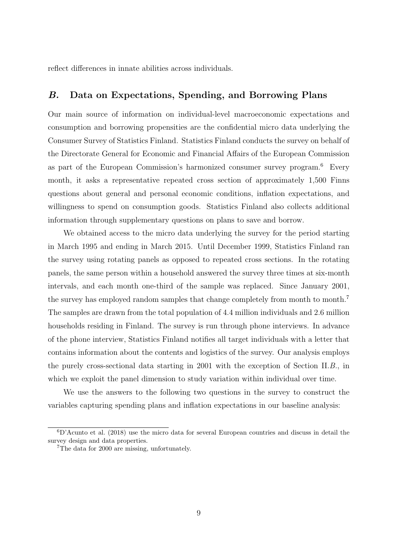reflect differences in innate abilities across individuals.

## B. Data on Expectations, Spending, and Borrowing Plans

Our main source of information on individual-level macroeconomic expectations and consumption and borrowing propensities are the confidential micro data underlying the Consumer Survey of Statistics Finland. Statistics Finland conducts the survey on behalf of the Directorate General for Economic and Financial Affairs of the European Commission as part of the European Commission's harmonized consumer survey program.[6](#page--1-0) Every month, it asks a representative repeated cross section of approximately 1,500 Finns questions about general and personal economic conditions, inflation expectations, and willingness to spend on consumption goods. Statistics Finland also collects additional information through supplementary questions on plans to save and borrow.

We obtained access to the micro data underlying the survey for the period starting in March 1995 and ending in March 2015. Until December 1999, Statistics Finland ran the survey using rotating panels as opposed to repeated cross sections. In the rotating panels, the same person within a household answered the survey three times at six-month intervals, and each month one-third of the sample was replaced. Since January 2001, the survey has employed random samples that change completely from month to month.[7](#page--1-0) The samples are drawn from the total population of 4.4 million individuals and 2.6 million households residing in Finland. The survey is run through phone interviews. In advance of the phone interview, Statistics Finland notifies all target individuals with a letter that contains information about the contents and logistics of the survey. Our analysis employs the purely cross-sectional data starting in 2001 with the exception of Section [II.](#page-12-0)[B.](#page-16-0), in which we exploit the panel dimension to study variation within individual over time.

We use the answers to the following two questions in the survey to construct the variables capturing spending plans and inflation expectations in our baseline analysis:

 ${}^{6}D$ 'Acunto et al. [\(2018\)](#page-27-13) use the micro data for several European countries and discuss in detail the survey design and data properties.

<sup>7</sup>The data for 2000 are missing, unfortunately.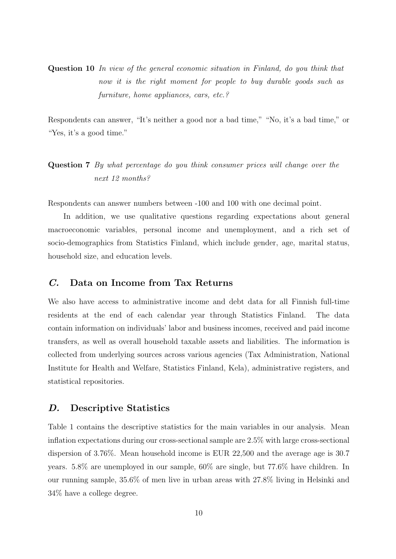Question 10 In view of the general economic situation in Finland, do you think that now it is the right moment for people to buy durable goods such as furniture, home appliances, cars, etc.?

Respondents can answer, "It's neither a good nor a bad time," "No, it's a bad time," or "Yes, it's a good time."

# Question 7 By what percentage do you think consumer prices will change over the next 12 months?

Respondents can answer numbers between -100 and 100 with one decimal point.

In addition, we use qualitative questions regarding expectations about general macroeconomic variables, personal income and unemployment, and a rich set of socio-demographics from Statistics Finland, which include gender, age, marital status, household size, and education levels.

## C. Data on Income from Tax Returns

We also have access to administrative income and debt data for all Finnish full-time residents at the end of each calendar year through Statistics Finland. The data contain information on individuals' labor and business incomes, received and paid income transfers, as well as overall household taxable assets and liabilities. The information is collected from underlying sources across various agencies (Tax Administration, National Institute for Health and Welfare, Statistics Finland, Kela), administrative registers, and statistical repositories.

## D. Descriptive Statistics

Table [1](#page-35-0) contains the descriptive statistics for the main variables in our analysis. Mean inflation expectations during our cross-sectional sample are 2.5% with large cross-sectional dispersion of 3.76%. Mean household income is EUR 22,500 and the average age is 30.7 years. 5.8% are unemployed in our sample, 60% are single, but 77.6% have children. In our running sample, 35.6% of men live in urban areas with 27.8% living in Helsinki and 34% have a college degree.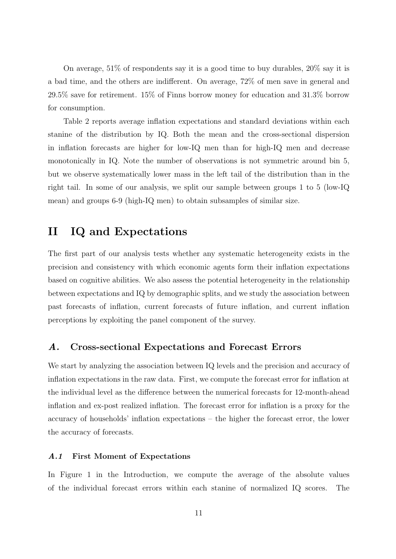On average, 51% of respondents say it is a good time to buy durables, 20% say it is a bad time, and the others are indifferent. On average, 72% of men save in general and 29.5% save for retirement. 15% of Finns borrow money for education and 31.3% borrow for consumption.

Table [2](#page-36-0) reports average inflation expectations and standard deviations within each stanine of the distribution by IQ. Both the mean and the cross-sectional dispersion in inflation forecasts are higher for low-IQ men than for high-IQ men and decrease monotonically in IQ. Note the number of observations is not symmetric around bin 5, but we observe systematically lower mass in the left tail of the distribution than in the right tail. In some of our analysis, we split our sample between groups 1 to 5 (low-IQ mean) and groups 6-9 (high-IQ men) to obtain subsamples of similar size.

# <span id="page-12-0"></span>II IQ and Expectations

The first part of our analysis tests whether any systematic heterogeneity exists in the precision and consistency with which economic agents form their inflation expectations based on cognitive abilities. We also assess the potential heterogeneity in the relationship between expectations and IQ by demographic splits, and we study the association between past forecasts of inflation, current forecasts of future inflation, and current inflation perceptions by exploiting the panel component of the survey.

# A. Cross-sectional Expectations and Forecast Errors

We start by analyzing the association between IQ levels and the precision and accuracy of inflation expectations in the raw data. First, we compute the forecast error for inflation at the individual level as the difference between the numerical forecasts for 12-month-ahead inflation and ex-post realized inflation. The forecast error for inflation is a proxy for the accuracy of households' inflation expectations – the higher the forecast error, the lower the accuracy of forecasts.

#### A.1 First Moment of Expectations

In Figure [1](#page-3-0) in the Introduction, we compute the average of the absolute values of the individual forecast errors within each stanine of normalized IQ scores. The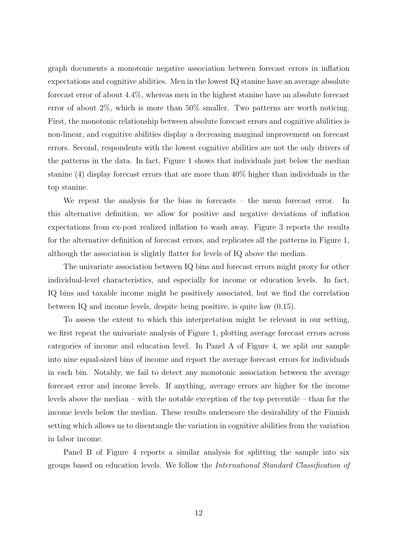graph documents a monotonic negative association between forecast errors in inflation expectations and cognitive abilities. Men in the lowest IQ stanine have an average absolute forecast error of about 4.4%, whereas men in the highest stanine have an absolute forecast error of about 2%, which is more than 50% smaller. Two patterns are worth noticing. First, the monotonic relationship between absolute forecast errors and cognitive abilities is non-linear, and cognitive abilities display a decreasing marginal improvement on forecast errors. Second, respondents with the lowest cognitive abilities are not the only drivers of the patterns in the data. In fact, Figure [1](#page-3-0) shows that individuals just below the median stanine (4) display forecast errors that are more than 40% higher than individuals in the top stanine.

We repeat the analysis for the bias in forecasts – the mean forecast error. In this alternative definition, we allow for positive and negative deviations of inflation expectations from ex-post realized inflation to wash away. Figure [3](#page-29-0) reports the results for the alternative definition of forecast errors, and replicates all the patterns in Figure [1,](#page-3-0) although the association is slightly flatter for levels of IQ above the median.

The univariate association between IQ bins and forecast errors might proxy for other individual-level characteristics, and especially for income or education levels. In fact, IQ bins and taxable income might be positively associated, but we find the correlation between IQ and income levels, despite being positive, is quite low (0.15).

To assess the extent to which this interpretation might be relevant in our setting, we first repeat the univariate analysis of Figure [1,](#page-3-0) plotting average forecast errors across categories of income and education level. In Panel A of Figure [4,](#page-30-0) we split our sample into nine equal-sized bins of income and report the average forecast errors for individuals in each bin. Notably, we fail to detect any monotonic association between the average forecast error and income levels. If anything, average errors are higher for the income levels above the median – with the notable exception of the top percentile – than for the income levels below the median. These results underscore the desirability of the Finnish setting which allows us to disentangle the variation in cognitive abilities from the variation in labor income.

Panel B of Figure [4](#page-30-0) reports a similar analysis for splitting the sample into six groups based on education levels. We follow the International Standard Classification of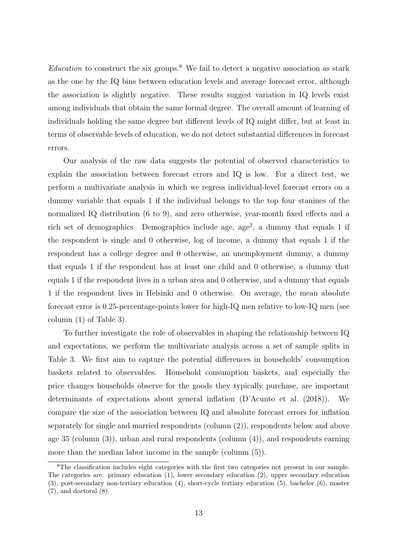Education to construct the six groups.<sup>[8](#page--1-0)</sup> We fail to detect a negative association as stark as the one by the IQ bins between education levels and average forecast error, although the association is slightly negative. These results suggest variation in IQ levels exist among individuals that obtain the same formal degree. The overall amount of learning of individuals holding the same degree but different levels of IQ might differ, but at least in terms of observable levels of education, we do not detect substantial differences in forecast errors.

Our analysis of the raw data suggests the potential of observed characteristics to explain the association between forecast errors and IQ is low. For a direct test, we perform a multivariate analysis in which we regress individual-level forecast errors on a dummy variable that equals 1 if the individual belongs to the top four stanines of the normalized IQ distribution (6 to 9), and zero otherwise, year-month fixed effects and a rich set of demographics. Demographics include age, age<sup>2</sup>, a dummy that equals 1 if the respondent is single and 0 otherwise, log of income, a dummy that equals 1 if the respondent has a college degree and 0 otherwise, an unemployment dummy, a dummy that equals 1 if the respondent has at least one child and 0 otherwise, a dummy that equals 1 if the respondent lives in a urban area and 0 otherwise, and a dummy that equals 1 if the respondent lives in Helsinki and 0 otherwise. On average, the mean absolute forecast error is 0.25-percentage-points lower for high-IQ men relative to low-IQ men (see column (1) of Table [3\)](#page-37-0).

To further investigate the role of observables in shaping the relationship between IQ and expectations, we perform the multivariate analysis across a set of sample splits in Table [3.](#page-37-0) We first aim to capture the potential differences in households' consumption baskets related to observables. Household consumption baskets, and especially the price changes households observe for the goods they typically purchase, are important determinants of expectations about general inflation [\(D'Acunto et al.](#page-27-7) [\(2018\)](#page-27-7)). We compare the size of the association between IQ and absolute forecast errors for inflation separately for single and married respondents (column (2)), respondents below and above age 35 (column (3)), urban and rural respondents (column (4)), and respondents earning more than the median labor income in the sample (column (5)).

<sup>&</sup>lt;sup>8</sup>The classification includes eight categories with the first two categories not present in our sample. The categories are: primary education (1), lower secondary education (2), upper secondary education (3), post-secondary non-tertiary education (4), short-cycle tertiary education (5), bachelor (6), master (7), and doctoral (8).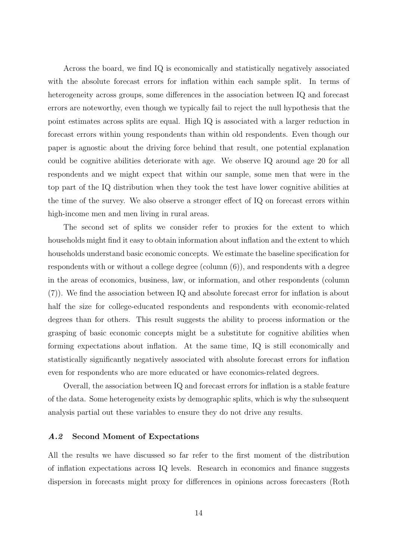Across the board, we find IQ is economically and statistically negatively associated with the absolute forecast errors for inflation within each sample split. In terms of heterogeneity across groups, some differences in the association between IQ and forecast errors are noteworthy, even though we typically fail to reject the null hypothesis that the point estimates across splits are equal. High IQ is associated with a larger reduction in forecast errors within young respondents than within old respondents. Even though our paper is agnostic about the driving force behind that result, one potential explanation could be cognitive abilities deteriorate with age. We observe IQ around age 20 for all respondents and we might expect that within our sample, some men that were in the top part of the IQ distribution when they took the test have lower cognitive abilities at the time of the survey. We also observe a stronger effect of IQ on forecast errors within high-income men and men living in rural areas.

The second set of splits we consider refer to proxies for the extent to which households might find it easy to obtain information about inflation and the extent to which households understand basic economic concepts. We estimate the baseline specification for respondents with or without a college degree (column (6)), and respondents with a degree in the areas of economics, business, law, or information, and other respondents (column (7)). We find the association between IQ and absolute forecast error for inflation is about half the size for college-educated respondents and respondents with economic-related degrees than for others. This result suggests the ability to process information or the grasping of basic economic concepts might be a substitute for cognitive abilities when forming expectations about inflation. At the same time, IQ is still economically and statistically significantly negatively associated with absolute forecast errors for inflation even for respondents who are more educated or have economics-related degrees.

Overall, the association between IQ and forecast errors for inflation is a stable feature of the data. Some heterogeneity exists by demographic splits, which is why the subsequent analysis partial out these variables to ensure they do not drive any results.

#### A.2 Second Moment of Expectations

All the results we have discussed so far refer to the first moment of the distribution of inflation expectations across IQ levels. Research in economics and finance suggests dispersion in forecasts might proxy for differences in opinions across forecasters [\(Roth](#page-28-7)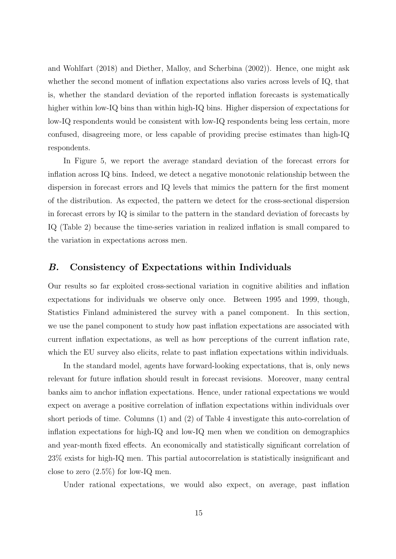[and Wohlfart](#page-28-7) [\(2018\)](#page-28-7) and [Diether, Malloy, and Scherbina](#page-27-21) [\(2002\)](#page-27-21)). Hence, one might ask whether the second moment of inflation expectations also varies across levels of IQ, that is, whether the standard deviation of the reported inflation forecasts is systematically higher within low-IQ bins than within high-IQ bins. Higher dispersion of expectations for low-IQ respondents would be consistent with low-IQ respondents being less certain, more confused, disagreeing more, or less capable of providing precise estimates than high-IQ respondents.

In Figure [5,](#page-31-0) we report the average standard deviation of the forecast errors for inflation across IQ bins. Indeed, we detect a negative monotonic relationship between the dispersion in forecast errors and IQ levels that mimics the pattern for the first moment of the distribution. As expected, the pattern we detect for the cross-sectional dispersion in forecast errors by IQ is similar to the pattern in the standard deviation of forecasts by IQ (Table [2\)](#page-36-0) because the time-series variation in realized inflation is small compared to the variation in expectations across men.

### <span id="page-16-0"></span>B. Consistency of Expectations within Individuals

Our results so far exploited cross-sectional variation in cognitive abilities and inflation expectations for individuals we observe only once. Between 1995 and 1999, though, Statistics Finland administered the survey with a panel component. In this section, we use the panel component to study how past inflation expectations are associated with current inflation expectations, as well as how perceptions of the current inflation rate, which the EU survey also elicits, relate to past inflation expectations within individuals.

In the standard model, agents have forward-looking expectations, that is, only news relevant for future inflation should result in forecast revisions. Moreover, many central banks aim to anchor inflation expectations. Hence, under rational expectations we would expect on average a positive correlation of inflation expectations within individuals over short periods of time. Columns (1) and (2) of Table [4](#page-38-0) investigate this auto-correlation of inflation expectations for high-IQ and low-IQ men when we condition on demographics and year-month fixed effects. An economically and statistically significant correlation of 23% exists for high-IQ men. This partial autocorrelation is statistically insignificant and close to zero  $(2.5\%)$  for low-IQ men.

Under rational expectations, we would also expect, on average, past inflation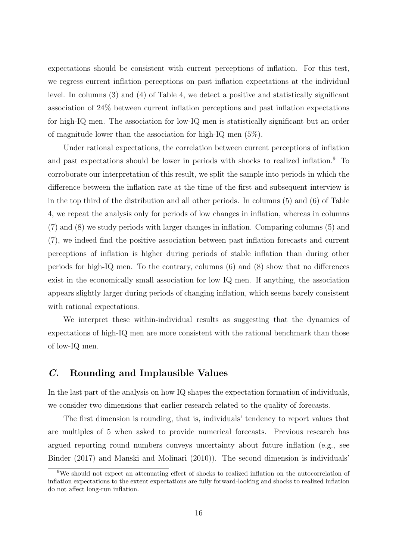expectations should be consistent with current perceptions of inflation. For this test, we regress current inflation perceptions on past inflation expectations at the individual level. In columns (3) and (4) of Table [4,](#page-38-0) we detect a positive and statistically significant association of 24% between current inflation perceptions and past inflation expectations for high-IQ men. The association for low-IQ men is statistically significant but an order of magnitude lower than the association for high-IQ men (5%).

Under rational expectations, the correlation between current perceptions of inflation and past expectations should be lower in periods with shocks to realized inflation.<sup>[9](#page--1-0)</sup> To corroborate our interpretation of this result, we split the sample into periods in which the difference between the inflation rate at the time of the first and subsequent interview is in the top third of the distribution and all other periods. In columns (5) and (6) of Table [4,](#page-38-0) we repeat the analysis only for periods of low changes in inflation, whereas in columns (7) and (8) we study periods with larger changes in inflation. Comparing columns (5) and (7), we indeed find the positive association between past inflation forecasts and current perceptions of inflation is higher during periods of stable inflation than during other periods for high-IQ men. To the contrary, columns (6) and (8) show that no differences exist in the economically small association for low IQ men. If anything, the association appears slightly larger during periods of changing inflation, which seems barely consistent with rational expectations.

We interpret these within-individual results as suggesting that the dynamics of expectations of high-IQ men are more consistent with the rational benchmark than those of low-IQ men.

## C. Rounding and Implausible Values

In the last part of the analysis on how IQ shapes the expectation formation of individuals, we consider two dimensions that earlier research related to the quality of forecasts.

The first dimension is rounding, that is, individuals' tendency to report values that are multiples of 5 when asked to provide numerical forecasts. Previous research has argued reporting round numbers conveys uncertainty about future inflation (e.g., see [Binder](#page-27-22) [\(2017\)](#page-27-22) and [Manski and Molinari](#page-28-3) [\(2010\)](#page-28-3)). The second dimension is individuals'

<sup>9</sup>We should not expect an attenuating effect of shocks to realized inflation on the autocorrelation of inflation expectations to the extent expectations are fully forward-looking and shocks to realized inflation do not affect long-run inflation.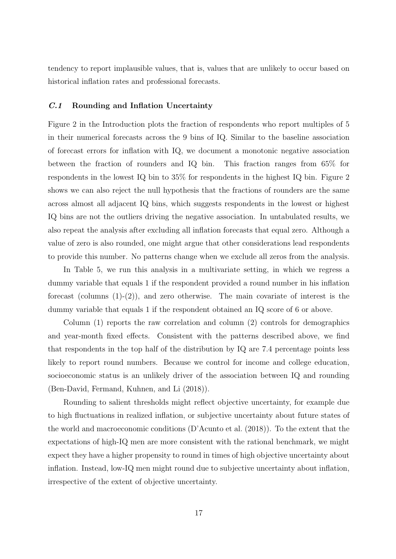tendency to report implausible values, that is, values that are unlikely to occur based on historical inflation rates and professional forecasts.

#### C.1 Rounding and Inflation Uncertainty

Figure 2 in the Introduction plots the fraction of respondents who report multiples of 5 in their numerical forecasts across the 9 bins of IQ. Similar to the baseline association of forecast errors for inflation with IQ, we document a monotonic negative association between the fraction of rounders and IQ bin. This fraction ranges from 65% for respondents in the lowest IQ bin to 35% for respondents in the highest IQ bin. Figure 2 shows we can also reject the null hypothesis that the fractions of rounders are the same across almost all adjacent IQ bins, which suggests respondents in the lowest or highest IQ bins are not the outliers driving the negative association. In untabulated results, we also repeat the analysis after excluding all inflation forecasts that equal zero. Although a value of zero is also rounded, one might argue that other considerations lead respondents to provide this number. No patterns change when we exclude all zeros from the analysis.

In Table [5,](#page-39-0) we run this analysis in a multivariate setting, in which we regress a dummy variable that equals 1 if the respondent provided a round number in his inflation forecast (columns  $(1)-(2)$ ), and zero otherwise. The main covariate of interest is the dummy variable that equals 1 if the respondent obtained an IQ score of 6 or above.

Column (1) reports the raw correlation and column (2) controls for demographics and year-month fixed effects. Consistent with the patterns described above, we find that respondents in the top half of the distribution by IQ are 7.4 percentage points less likely to report round numbers. Because we control for income and college education, socioeconomic status is an unlikely driver of the association between IQ and rounding [\(Ben-David, Fermand, Kuhnen, and Li](#page-27-5) [\(2018\)](#page-27-5)).

Rounding to salient thresholds might reflect objective uncertainty, for example due to high fluctuations in realized inflation, or subjective uncertainty about future states of the world and macroeconomic conditions [\(D'Acunto et al.](#page-27-3) [\(2018\)](#page-27-3)). To the extent that the expectations of high-IQ men are more consistent with the rational benchmark, we might expect they have a higher propensity to round in times of high objective uncertainty about inflation. Instead, low-IQ men might round due to subjective uncertainty about inflation, irrespective of the extent of objective uncertainty.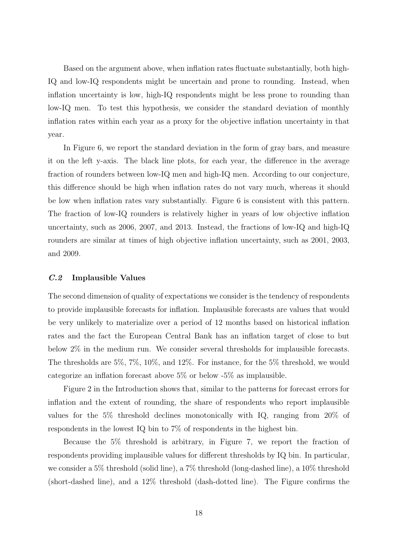Based on the argument above, when inflation rates fluctuate substantially, both high-IQ and low-IQ respondents might be uncertain and prone to rounding. Instead, when inflation uncertainty is low, high-IQ respondents might be less prone to rounding than low-IQ men. To test this hypothesis, we consider the standard deviation of monthly inflation rates within each year as a proxy for the objective inflation uncertainty in that year.

In Figure [6,](#page-32-0) we report the standard deviation in the form of gray bars, and measure it on the left y-axis. The black line plots, for each year, the difference in the average fraction of rounders between low-IQ men and high-IQ men. According to our conjecture, this difference should be high when inflation rates do not vary much, whereas it should be low when inflation rates vary substantially. Figure [6](#page-32-0) is consistent with this pattern. The fraction of low-IQ rounders is relatively higher in years of low objective inflation uncertainty, such as 2006, 2007, and 2013. Instead, the fractions of low-IQ and high-IQ rounders are similar at times of high objective inflation uncertainty, such as 2001, 2003, and 2009.

#### C.2 Implausible Values

The second dimension of quality of expectations we consider is the tendency of respondents to provide implausible forecasts for inflation. Implausible forecasts are values that would be very unlikely to materialize over a period of 12 months based on historical inflation rates and the fact the European Central Bank has an inflation target of close to but below 2% in the medium run. We consider several thresholds for implausible forecasts. The thresholds are 5%, 7%, 10%, and 12%. For instance, for the 5% threshold, we would categorize an inflation forecast above 5% or below -5% as implausible.

Figure [2](#page-5-0) in the Introduction shows that, similar to the patterns for forecast errors for inflation and the extent of rounding, the share of respondents who report implausible values for the 5% threshold declines monotonically with IQ, ranging from 20% of respondents in the lowest IQ bin to 7% of respondents in the highest bin.

Because the 5% threshold is arbitrary, in Figure [7,](#page-33-0) we report the fraction of respondents providing implausible values for different thresholds by IQ bin. In particular, we consider a 5% threshold (solid line), a 7% threshold (long-dashed line), a 10% threshold (short-dashed line), and a 12% threshold (dash-dotted line). The Figure confirms the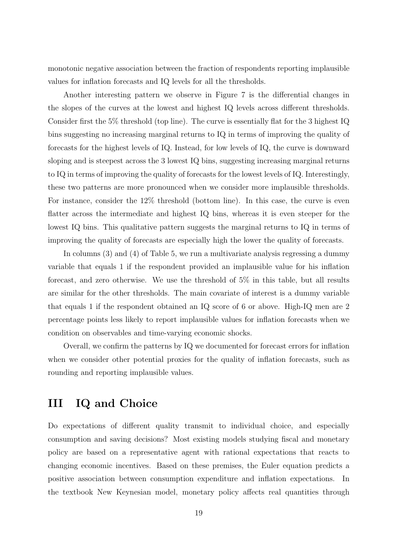monotonic negative association between the fraction of respondents reporting implausible values for inflation forecasts and IQ levels for all the thresholds.

Another interesting pattern we observe in Figure [7](#page-33-0) is the differential changes in the slopes of the curves at the lowest and highest IQ levels across different thresholds. Consider first the 5% threshold (top line). The curve is essentially flat for the 3 highest IQ bins suggesting no increasing marginal returns to IQ in terms of improving the quality of forecasts for the highest levels of IQ. Instead, for low levels of IQ, the curve is downward sloping and is steepest across the 3 lowest IQ bins, suggesting increasing marginal returns to IQ in terms of improving the quality of forecasts for the lowest levels of IQ. Interestingly, these two patterns are more pronounced when we consider more implausible thresholds. For instance, consider the 12% threshold (bottom line). In this case, the curve is even flatter across the intermediate and highest IQ bins, whereas it is even steeper for the lowest IQ bins. This qualitative pattern suggests the marginal returns to IQ in terms of improving the quality of forecasts are especially high the lower the quality of forecasts.

In columns (3) and (4) of Table [5,](#page-39-0) we run a multivariate analysis regressing a dummy variable that equals 1 if the respondent provided an implausible value for his inflation forecast, and zero otherwise. We use the threshold of 5% in this table, but all results are similar for the other thresholds. The main covariate of interest is a dummy variable that equals 1 if the respondent obtained an IQ score of 6 or above. High-IQ men are 2 percentage points less likely to report implausible values for inflation forecasts when we condition on observables and time-varying economic shocks.

Overall, we confirm the patterns by IQ we documented for forecast errors for inflation when we consider other potential proxies for the quality of inflation forecasts, such as rounding and reporting implausible values.

# III IQ and Choice

Do expectations of different quality transmit to individual choice, and especially consumption and saving decisions? Most existing models studying fiscal and monetary policy are based on a representative agent with rational expectations that reacts to changing economic incentives. Based on these premises, the Euler equation predicts a positive association between consumption expenditure and inflation expectations. In the textbook New Keynesian model, monetary policy affects real quantities through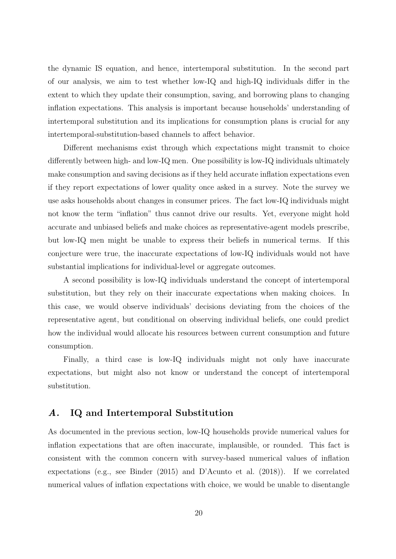the dynamic IS equation, and hence, intertemporal substitution. In the second part of our analysis, we aim to test whether low-IQ and high-IQ individuals differ in the extent to which they update their consumption, saving, and borrowing plans to changing inflation expectations. This analysis is important because households' understanding of intertemporal substitution and its implications for consumption plans is crucial for any intertemporal-substitution-based channels to affect behavior.

Different mechanisms exist through which expectations might transmit to choice differently between high- and low-IQ men. One possibility is low-IQ individuals ultimately make consumption and saving decisions as if they held accurate inflation expectations even if they report expectations of lower quality once asked in a survey. Note the survey we use asks households about changes in consumer prices. The fact low-IQ individuals might not know the term "inflation" thus cannot drive our results. Yet, everyone might hold accurate and unbiased beliefs and make choices as representative-agent models prescribe, but low-IQ men might be unable to express their beliefs in numerical terms. If this conjecture were true, the inaccurate expectations of low-IQ individuals would not have substantial implications for individual-level or aggregate outcomes.

A second possibility is low-IQ individuals understand the concept of intertemporal substitution, but they rely on their inaccurate expectations when making choices. In this case, we would observe individuals' decisions deviating from the choices of the representative agent, but conditional on observing individual beliefs, one could predict how the individual would allocate his resources between current consumption and future consumption.

Finally, a third case is low-IQ individuals might not only have inaccurate expectations, but might also not know or understand the concept of intertemporal substitution.

### A. IQ and Intertemporal Substitution

As documented in the previous section, low-IQ households provide numerical values for inflation expectations that are often inaccurate, implausible, or rounded. This fact is consistent with the common concern with survey-based numerical values of inflation expectations (e.g., see [Binder](#page-27-11) [\(2015\)](#page-27-11) and [D'Acunto et al.](#page-27-7) [\(2018\)](#page-27-7)). If we correlated numerical values of inflation expectations with choice, we would be unable to disentangle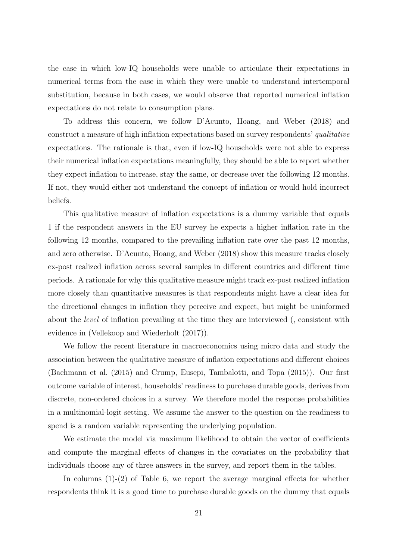the case in which low-IQ households were unable to articulate their expectations in numerical terms from the case in which they were unable to understand intertemporal substitution, because in both cases, we would observe that reported numerical inflation expectations do not relate to consumption plans.

To address this concern, we follow [D'Acunto, Hoang, and Weber](#page-27-13) [\(2018\)](#page-27-13) and construct a measure of high inflation expectations based on survey respondents' qualitative expectations. The rationale is that, even if low-IQ households were not able to express their numerical inflation expectations meaningfully, they should be able to report whether they expect inflation to increase, stay the same, or decrease over the following 12 months. If not, they would either not understand the concept of inflation or would hold incorrect beliefs.

This qualitative measure of inflation expectations is a dummy variable that equals 1 if the respondent answers in the EU survey he expects a higher inflation rate in the following 12 months, compared to the prevailing inflation rate over the past 12 months, and zero otherwise. [D'Acunto, Hoang, and Weber](#page-27-13) [\(2018\)](#page-27-13) show this measure tracks closely ex-post realized inflation across several samples in different countries and different time periods. A rationale for why this qualitative measure might track ex-post realized inflation more closely than quantitative measures is that respondents might have a clear idea for the directional changes in inflation they perceive and expect, but might be uninformed about the level of inflation prevailing at the time they are interviewed (, consistent with evidence in [\(Vellekoop and Wiederholt](#page-28-8) [\(2017\)](#page-28-8)).

We follow the recent literature in macroeconomics using micro data and study the association between the qualitative measure of inflation expectations and different choices [\(Bachmann et al.](#page-27-12) [\(2015\)](#page-27-12) and [Crump, Eusepi, Tambalotti, and Topa](#page-27-19) [\(2015\)](#page-27-19)). Our first outcome variable of interest, households' readiness to purchase durable goods, derives from discrete, non-ordered choices in a survey. We therefore model the response probabilities in a multinomial-logit setting. We assume the answer to the question on the readiness to spend is a random variable representing the underlying population.

We estimate the model via maximum likelihood to obtain the vector of coefficients and compute the marginal effects of changes in the covariates on the probability that individuals choose any of three answers in the survey, and report them in the tables.

In columns  $(1)-(2)$  of Table [6,](#page-40-0) we report the average marginal effects for whether respondents think it is a good time to purchase durable goods on the dummy that equals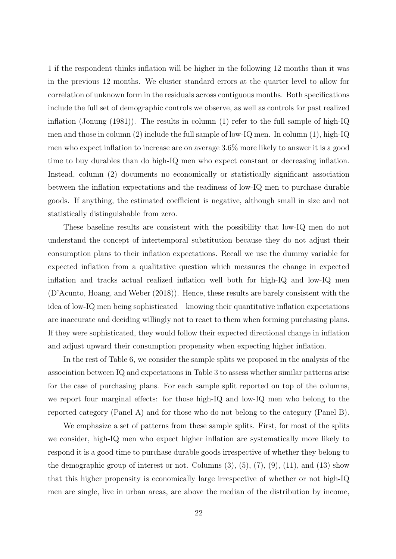1 if the respondent thinks inflation will be higher in the following 12 months than it was in the previous 12 months. We cluster standard errors at the quarter level to allow for correlation of unknown form in the residuals across contiguous months. Both specifications include the full set of demographic controls we observe, as well as controls for past realized inflation [\(Jonung](#page-28-9)  $(1981)$ ). The results in column  $(1)$  refer to the full sample of high-IQ men and those in column (2) include the full sample of low-IQ men. In column (1), high-IQ men who expect inflation to increase are on average 3.6% more likely to answer it is a good time to buy durables than do high-IQ men who expect constant or decreasing inflation. Instead, column (2) documents no economically or statistically significant association between the inflation expectations and the readiness of low-IQ men to purchase durable goods. If anything, the estimated coefficient is negative, although small in size and not statistically distinguishable from zero.

These baseline results are consistent with the possibility that low-IQ men do not understand the concept of intertemporal substitution because they do not adjust their consumption plans to their inflation expectations. Recall we use the dummy variable for expected inflation from a qualitative question which measures the change in expected inflation and tracks actual realized inflation well both for high-IQ and low-IQ men [\(D'Acunto, Hoang, and Weber](#page-27-13) [\(2018\)](#page-27-13)). Hence, these results are barely consistent with the idea of low-IQ men being sophisticated – knowing their quantitative inflation expectations are inaccurate and deciding willingly not to react to them when forming purchasing plans. If they were sophisticated, they would follow their expected directional change in inflation and adjust upward their consumption propensity when expecting higher inflation.

In the rest of Table [6,](#page-40-0) we consider the sample splits we proposed in the analysis of the association between IQ and expectations in Table [3](#page-37-0) to assess whether similar patterns arise for the case of purchasing plans. For each sample split reported on top of the columns, we report four marginal effects: for those high-IQ and low-IQ men who belong to the reported category (Panel A) and for those who do not belong to the category (Panel B).

We emphasize a set of patterns from these sample splits. First, for most of the splits we consider, high-IQ men who expect higher inflation are systematically more likely to respond it is a good time to purchase durable goods irrespective of whether they belong to the demographic group of interest or not. Columns  $(3)$ ,  $(5)$ ,  $(7)$ ,  $(9)$ ,  $(11)$ , and  $(13)$  show that this higher propensity is economically large irrespective of whether or not high-IQ men are single, live in urban areas, are above the median of the distribution by income,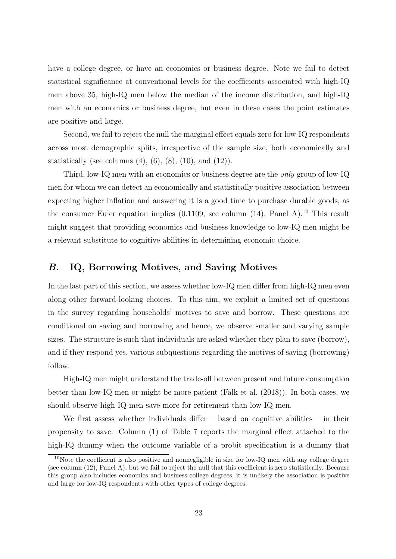have a college degree, or have an economics or business degree. Note we fail to detect statistical significance at conventional levels for the coefficients associated with high-IQ men above 35, high-IQ men below the median of the income distribution, and high-IQ men with an economics or business degree, but even in these cases the point estimates are positive and large.

Second, we fail to reject the null the marginal effect equals zero for low-IQ respondents across most demographic splits, irrespective of the sample size, both economically and statistically (see columns  $(4)$ ,  $(6)$ ,  $(8)$ ,  $(10)$ , and  $(12)$ ).

Third, low-IQ men with an economics or business degree are the only group of low-IQ men for whom we can detect an economically and statistically positive association between expecting higher inflation and answering it is a good time to purchase durable goods, as the consumer Euler equation implies  $(0.1109)$  $(0.1109)$  $(0.1109)$ , see column  $(14)$ , Panel A).<sup>10</sup> This result might suggest that providing economics and business knowledge to low-IQ men might be a relevant substitute to cognitive abilities in determining economic choice.

## B. IQ, Borrowing Motives, and Saving Motives

In the last part of this section, we assess whether low-IQ men differ from high-IQ men even along other forward-looking choices. To this aim, we exploit a limited set of questions in the survey regarding households' motives to save and borrow. These questions are conditional on saving and borrowing and hence, we observe smaller and varying sample sizes. The structure is such that individuals are asked whether they plan to save (borrow), and if they respond yes, various subquestions regarding the motives of saving (borrowing) follow.

High-IQ men might understand the trade-off between present and future consumption better than low-IQ men or might be more patient [\(Falk et al.](#page-27-2) [\(2018\)](#page-27-2)). In both cases, we should observe high-IQ men save more for retirement than low-IQ men.

We first assess whether individuals differ – based on cognitive abilities – in their propensity to save. Column (1) of Table [7](#page-41-0) reports the marginal effect attached to the high-IQ dummy when the outcome variable of a probit specification is a dummy that

<sup>&</sup>lt;sup>10</sup>Note the coefficient is also positive and nonnegligible in size for low-IQ men with any college degree (see column (12), Panel A), but we fail to reject the null that this coefficient is zero statistically. Because this group also includes economics and business college degrees, it is unlikely the association is positive and large for low-IQ respondents with other types of college degrees.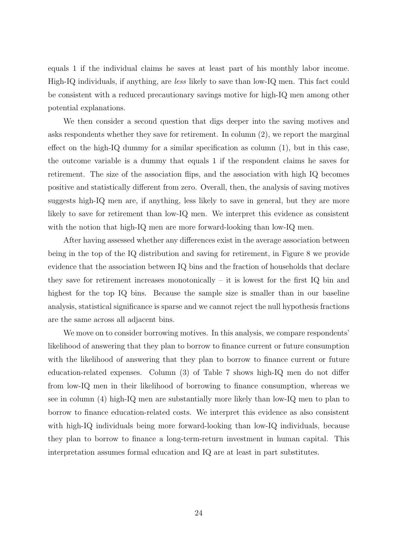equals 1 if the individual claims he saves at least part of his monthly labor income. High-IQ individuals, if anything, are less likely to save than low-IQ men. This fact could be consistent with a reduced precautionary savings motive for high-IQ men among other potential explanations.

We then consider a second question that digs deeper into the saving motives and asks respondents whether they save for retirement. In column (2), we report the marginal effect on the high-IQ dummy for a similar specification as column (1), but in this case, the outcome variable is a dummy that equals 1 if the respondent claims he saves for retirement. The size of the association flips, and the association with high IQ becomes positive and statistically different from zero. Overall, then, the analysis of saving motives suggests high-IQ men are, if anything, less likely to save in general, but they are more likely to save for retirement than low-IQ men. We interpret this evidence as consistent with the notion that high-IQ men are more forward-looking than low-IQ men.

After having assessed whether any differences exist in the average association between being in the top of the IQ distribution and saving for retirement, in Figure [8](#page-34-0) we provide evidence that the association between IQ bins and the fraction of households that declare they save for retirement increases monotonically – it is lowest for the first  $IQ$  bin and highest for the top IQ bins. Because the sample size is smaller than in our baseline analysis, statistical significance is sparse and we cannot reject the null hypothesis fractions are the same across all adjacent bins.

We move on to consider borrowing motives. In this analysis, we compare respondents' likelihood of answering that they plan to borrow to finance current or future consumption with the likelihood of answering that they plan to borrow to finance current or future education-related expenses. Column (3) of Table [7](#page-41-0) shows high-IQ men do not differ from low-IQ men in their likelihood of borrowing to finance consumption, whereas we see in column (4) high-IQ men are substantially more likely than low-IQ men to plan to borrow to finance education-related costs. We interpret this evidence as also consistent with high-IQ individuals being more forward-looking than low-IQ individuals, because they plan to borrow to finance a long-term-return investment in human capital. This interpretation assumes formal education and IQ are at least in part substitutes.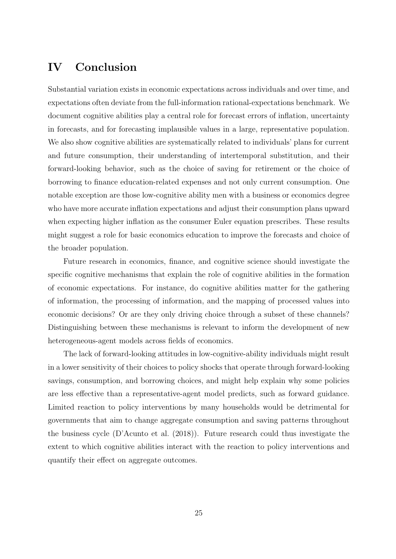# IV Conclusion

Substantial variation exists in economic expectations across individuals and over time, and expectations often deviate from the full-information rational-expectations benchmark. We document cognitive abilities play a central role for forecast errors of inflation, uncertainty in forecasts, and for forecasting implausible values in a large, representative population. We also show cognitive abilities are systematically related to individuals' plans for current and future consumption, their understanding of intertemporal substitution, and their forward-looking behavior, such as the choice of saving for retirement or the choice of borrowing to finance education-related expenses and not only current consumption. One notable exception are those low-cognitive ability men with a business or economics degree who have more accurate inflation expectations and adjust their consumption plans upward when expecting higher inflation as the consumer Euler equation prescribes. These results might suggest a role for basic economics education to improve the forecasts and choice of the broader population.

Future research in economics, finance, and cognitive science should investigate the specific cognitive mechanisms that explain the role of cognitive abilities in the formation of economic expectations. For instance, do cognitive abilities matter for the gathering of information, the processing of information, and the mapping of processed values into economic decisions? Or are they only driving choice through a subset of these channels? Distinguishing between these mechanisms is relevant to inform the development of new heterogeneous-agent models across fields of economics.

The lack of forward-looking attitudes in low-cognitive-ability individuals might result in a lower sensitivity of their choices to policy shocks that operate through forward-looking savings, consumption, and borrowing choices, and might help explain why some policies are less effective than a representative-agent model predicts, such as forward guidance. Limited reaction to policy interventions by many households would be detrimental for governments that aim to change aggregate consumption and saving patterns throughout the business cycle [\(D'Acunto et al.](#page-27-3) [\(2018\)](#page-27-3)). Future research could thus investigate the extent to which cognitive abilities interact with the reaction to policy interventions and quantify their effect on aggregate outcomes.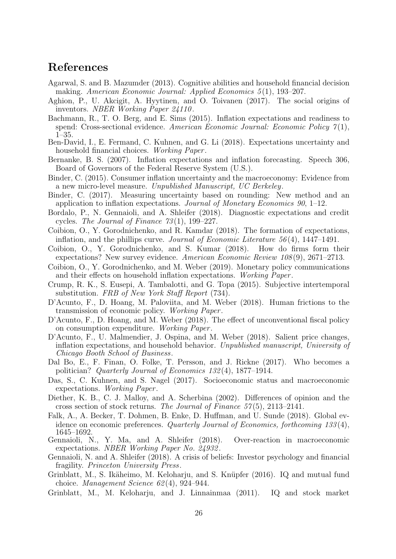# References

- <span id="page-27-15"></span>Agarwal, S. and B. Mazumder (2013). Cognitive abilities and household financial decision making. American Economic Journal: Applied Economics 5(1), 193-207.
- <span id="page-27-16"></span>Aghion, P., U. Akcigit, A. Hyytinen, and O. Toivanen (2017). The social origins of inventors. NBER Working Paper 24110 .
- <span id="page-27-12"></span>Bachmann, R., T. O. Berg, and E. Sims (2015). Inflation expectations and readiness to spend: Cross-sectional evidence. American Economic Journal: Economic Policy  $\gamma(1)$ , 1–35.
- <span id="page-27-5"></span>Ben-David, I., E. Fermand, C. Kuhnen, and G. Li (2018). Expectations uncertainty and household financial choices. Working Paper.
- <span id="page-27-10"></span>Bernanke, B. S. (2007). Inflation expectations and inflation forecasting. Speech 306, Board of Governors of the Federal Reserve System (U.S.).
- <span id="page-27-11"></span>Binder, C. (2015). Consumer inflation uncertainty and the macroeconomy: Evidence from a new micro-level measure. Unpublished Manuscript, UC Berkeley.
- <span id="page-27-22"></span>Binder, C. (2017). Measuring uncertainty based on rounding: New method and an application to inflation expectations. Journal of Monetary Economics 90, 1–12.
- <span id="page-27-8"></span>Bordalo, P., N. Gennaioli, and A. Shleifer (2018). Diagnostic expectations and credit cycles. The Journal of Finance  $73(1)$ , 199–227.
- <span id="page-27-0"></span>Coibion, O., Y. Gorodnichenko, and R. Kamdar (2018). The formation of expectations, inflation, and the phillips curve. Journal of Economic Literature 56 (4), 1447–1491.
- <span id="page-27-18"></span>Coibion, O., Y. Gorodnichenko, and S. Kumar (2018). How do firms form their expectations? New survey evidence. American Economic Review 108(9), 2671-2713.
- <span id="page-27-20"></span>Coibion, O., Y. Gorodnichenko, and M. Weber (2019). Monetary policy communications and their effects on household inflation expectations. Working Paper.
- <span id="page-27-19"></span>Crump, R. K., S. Eusepi, A. Tambalotti, and G. Topa (2015). Subjective intertemporal substitution. FRB of New York Staff Report (734).
- <span id="page-27-3"></span>D'Acunto, F., D. Hoang, M. Paloviita, and M. Weber (2018). Human frictions to the transmission of economic policy. Working Paper .
- <span id="page-27-13"></span>D'Acunto, F., D. Hoang, and M. Weber (2018). The effect of unconventional fiscal policy on consumption expenditure. Working Paper .
- <span id="page-27-7"></span>D'Acunto, F., U. Malmendier, J. Ospina, and M. Weber (2018). Salient price changes, inflation expectations, and household behavior. Unpublished manuscript, University of Chicago Booth School of Business.
- <span id="page-27-17"></span>Dal Bo, E., F. Finan, O. Folke, T. Persson, and J. Rickne (2017). Who becomes a politician? Quarterly Journal of Economics 132 (4), 1877–1914.
- <span id="page-27-6"></span>Das, S., C. Kuhnen, and S. Nagel (2017). Socioeconomic status and macroeconomic expectations. Working Paper.
- <span id="page-27-21"></span>Diether, K. B., C. J. Malloy, and A. Scherbina (2002). Differences of opinion and the cross section of stock returns. The Journal of Finance  $57(5)$ ,  $2113-2141$ .
- <span id="page-27-2"></span>Falk, A., A. Becker, T. Dohmen, B. Enke, D. Huffman, and U. Sunde (2018). Global evidence on economic preferences. Quarterly Journal of Economics, forthcoming 133 (4), 1645–1692.
- <span id="page-27-9"></span>Gennaioli, N., Y. Ma, and A. Shleifer (2018). Over-reaction in macroeconomic expectations. NBER Working Paper No. 24932 .
- <span id="page-27-1"></span>Gennaioli, N. and A. Shleifer (2018). A crisis of beliefs: Investor psychology and financial fragility. Princeton University Press.
- <span id="page-27-14"></span>Grinblatt, M., S. Ikäheimo, M. Keloharju, and S. Knüpfer (2016). IQ and mutual fund choice. Management Science 62 (4), 924–944.
- <span id="page-27-4"></span>Grinblatt, M., M. Keloharju, and J. Linnainmaa (2011). IQ and stock market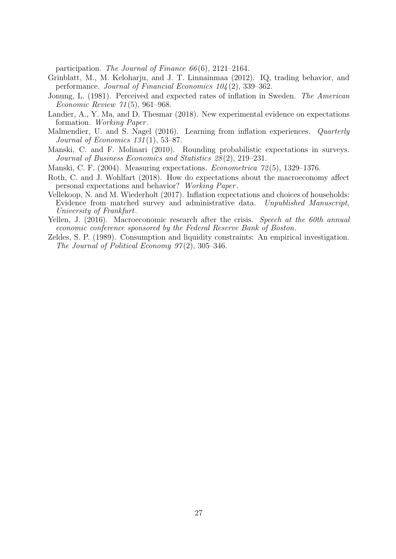participation. The Journal of Finance  $66(6)$ , 2121–2164.

- <span id="page-28-6"></span>Grinblatt, M., M. Keloharju, and J. T. Linnainmaa (2012). IQ, trading behavior, and performance. Journal of Financial Economics 104 (2), 339–362.
- <span id="page-28-9"></span>Jonung, L. (1981). Perceived and expected rates of inflation in Sweden. The American Economic Review 71 (5), 961–968.
- <span id="page-28-1"></span>Landier, A., Y. Ma, and D. Thesmar (2018). New experimental evidence on expectations formation. Working Paper.
- <span id="page-28-2"></span>Malmendier, U. and S. Nagel (2016). Learning from inflation experiences. *Quarterly* Journal of Economics  $131(1)$ , 53–87.
- <span id="page-28-3"></span>Manski, C. and F. Molinari (2010). Rounding probabilistic expectations in surveys. Journal of Business Economics and Statistics 28 (2), 219–231.
- <span id="page-28-0"></span>Manski, C. F. (2004). Measuring expectations. Econometrica 72 (5), 1329–1376.
- <span id="page-28-7"></span>Roth, C. and J. Wohlfart (2018). How do expectations about the macroeconomy affect personal expectations and behavior? Working Paper .
- <span id="page-28-8"></span>Vellekoop, N. and M. Wiederholt (2017). Inflation expectations and choices of households: Evidence from matched survey and administrative data. Unpublished Manuscript, University of Frankfurt.
- <span id="page-28-4"></span>Yellen, J. (2016). Macroeconomic research after the crisis. Speech at the 60th annual economic conference sponsored by the Federal Reserve Bank of Boston.
- <span id="page-28-5"></span>Zeldes, S. P. (1989). Consumption and liquidity constraints: An empirical investigation. The Journal of Political Economy  $97(2)$ , 305-346.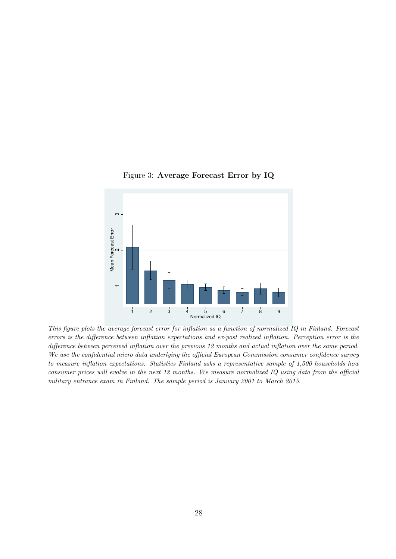

#### <span id="page-29-0"></span>Figure 3: Average Forecast Error by IQ

This figure plots the average forecast error for inflation as a function of normalized IQ in Finland. Forecast errors is the difference between inflation expectations and ex-post realized inflation. Perception error is the difference between perceived inflation over the previous 12 months and actual inflation over the same period. We use the confidential micro data underlying the official European Commission consumer confidence survey to measure inflation expectations. Statistics Finland asks a representative sample of 1,500 households how consumer prices will evolve in the next 12 months. We measure normalized IQ using data from the official military entrance exam in Finland. The sample period is January 2001 to March 2015.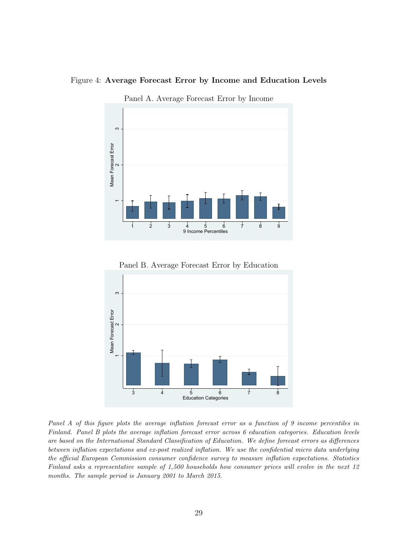#### Figure 4: Average Forecast Error by Income and Education Levels

<span id="page-30-0"></span>

Panel A. Average Forecast Error by Income



Panel B. Average Forecast Error by Education

Panel A of this figure plots the average inflation forecast error as a function of 9 income percentiles in Finland. Panel B plots the average inflation forecast error across 6 education categories. Education levels are based on the International Standard Classification of Education. We define forecast errors as differences between inflation expectations and ex-post realized inflation. We use the confidential micro data underlying the official European Commission consumer confidence survey to measure inflation expectations. Statistics Finland asks a representative sample of 1,500 households how consumer prices will evolve in the next 12 months. The sample period is January 2001 to March 2015.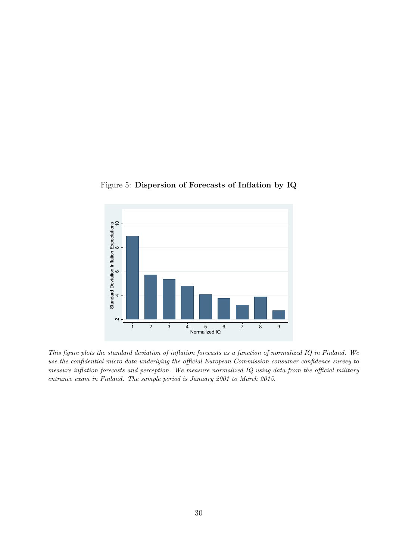

<span id="page-31-0"></span>Figure 5: Dispersion of Forecasts of Inflation by IQ

This figure plots the standard deviation of inflation forecasts as a function of normalized IQ in Finland. We use the confidential micro data underlying the official European Commission consumer confidence survey to measure inflation forecasts and perception. We measure normalized IQ using data from the official military entrance exam in Finland. The sample period is January 2001 to March 2015.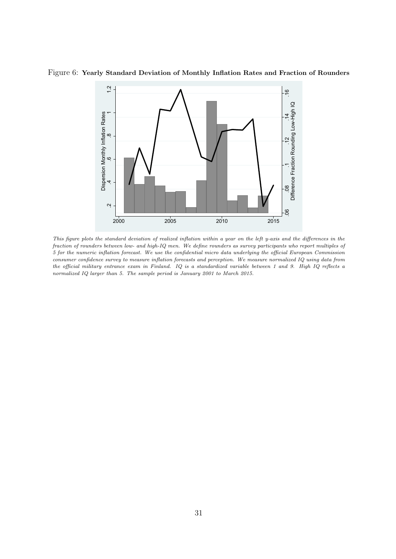<span id="page-32-0"></span>

Figure 6: Yearly Standard Deviation of Monthly Inflation Rates and Fraction of Rounders

This figure plots the standard deviation of realized inflation within a year on the left y-axis and the differences in the fraction of rounders between low- and high-IQ men. We define rounders as survey participants who report multiples of 5 for the numeric inflation forecast. We use the confidential micro data underlying the official European Commission consumer confidence survey to measure inflation forecasts and perception. We measure normalized IQ using data from the official military entrance exam in Finland. IQ is a standardized variable between 1 and 9. High IQ reflects a normalized IQ larger than 5. The sample period is January 2001 to March 2015.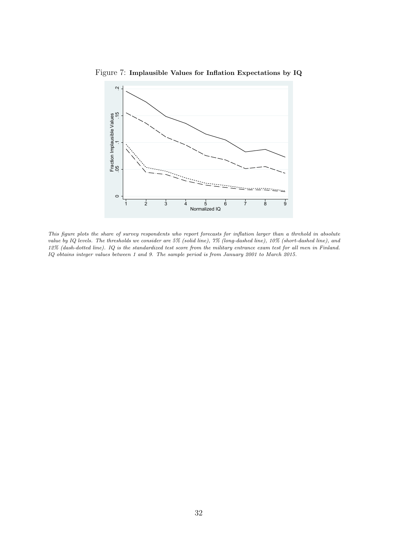<span id="page-33-0"></span>

Figure 7: Implausible Values for Inflation Expectations by IQ

This figure plots the share of survey respondents who report forecasts for inflation larger than a threhold in absolute value by IQ levels. The thresholds we consider are 5% (solid line), 7% (long-dashed line), 10% (short-dashed line), and 12% (dash-dotted line). IQ is the standardized test score from the military entrance exam test for all men in Finland. IQ obtains integer values between 1 and 9. The sample period is from January 2001 to March 2015.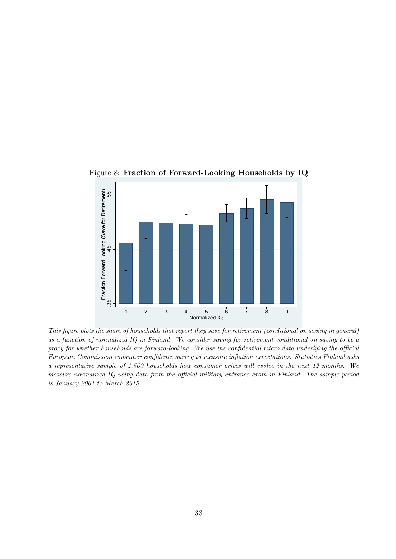<span id="page-34-0"></span>

Figure 8: Fraction of Forward-Looking Households by IQ

This figure plots the share of households that report they save for retirement (conditional on saving in general) as a function of normalized IQ in Finland. We consider saving for retirement conditional on saving to be a proxy for whether households are forward-looking. We use the confidential micro data underlying the official European Commission consumer confidence survey to measure inflation expectations. Statistics Finland asks a representative sample of 1,500 households how consumer prices will evolve in the next 12 months. We measure normalized IQ using data from the official military entrance exam in Finland. The sample period is January 2001 to March 2015.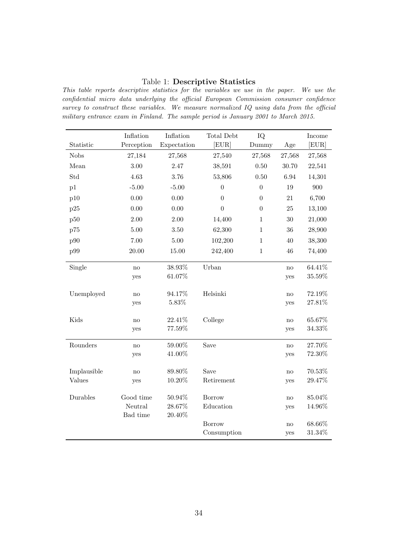### <span id="page-35-0"></span>Table 1: Descriptive Statistics

This table reports descriptive statistics for the variables we use in the paper. We use the confidential micro data underlying the official European Commission consumer confidence survey to construct these variables. We measure normalized IQ using data from the official military entrance exam in Finland. The sample period is January 2001 to March 2015.

|             | Inflation     | Inflation        | Total Debt       | IQ               |        | Income           |
|-------------|---------------|------------------|------------------|------------------|--------|------------------|
| Statistic   | Perception    | Expectation      | [EUR]            | Dummy            | Age    | [EUR]            |
| <b>Nobs</b> | 27,184        | 27,568           | 27,540           | 27,568           | 27,568 | 27,568           |
| Mean        | 3.00          | 2.47             | 38,591           | 0.50             | 30.70  | 22,541           |
| Std         | 4.63          | 3.76             | 53,806           | 0.50             | 6.94   | 14,301           |
| p1          | $-5.00$       | $-5.00$          | $\boldsymbol{0}$ | $\boldsymbol{0}$ | 19     | 900              |
| p10         | $0.00\,$      | 0.00             | $\boldsymbol{0}$ | $\boldsymbol{0}$ | 21     | 6,700            |
| p25         | 0.00          | 0.00             | $\theta$         | $\overline{0}$   | 25     | 13,100           |
| p50         | 2.00          | 2.00             | 14,400           | $\mathbf{1}$     | 30     | 21,000           |
| p75         | 5.00          | 3.50             | 62,300           | $\mathbf{1}$     | 36     | 28,900           |
| p90         | 7.00          | 5.00             | 102,200          | $\,1\,$          | 40     | 38,300           |
| p99         | $20.00\,$     | 15.00            | 242,400          | $\,1\,$          | 46     | 74,400           |
|             |               |                  |                  |                  |        |                  |
| Single      | no            | 38.93%<br>61.07% | Urban            |                  | no     | 64.41%<br>35.59% |
|             | yes           |                  |                  |                  | yes    |                  |
| Unemployed  | no            | 94.17%           | Helsinki         |                  | no     | 72.19%           |
|             | yes           | $5.83\%$         |                  |                  | yes    | $27.81\%$        |
|             |               |                  |                  |                  |        |                  |
| Kids        | $\mathbf{no}$ | 22.41%           | College          |                  | no     | 65.67%           |
|             | yes           | 77.59%           |                  |                  | yes    | 34.33%           |
| Rounders    | $\mathbf{no}$ | 59.00%           | Save             |                  | no     | 27.70%           |
|             | yes           | 41.00%           |                  |                  | yes    | 72.30%           |
|             |               |                  |                  |                  |        |                  |
| Implausible | no            | 89.80%           | Save             |                  | no     | 70.53%           |
| Values      | yes           | $10.20\%$        | Retirement       |                  | yes    | 29.47%           |
| Durables    | Good time     | 50.94%           | Borrow           |                  | no     | 85.04%           |
|             | Neutral       | 28.67%           | Education        |                  | yes    | 14.96%           |
|             | Bad time      | 20.40%           |                  |                  |        |                  |
|             |               |                  | <b>Borrow</b>    |                  | no     | 68.66%           |
|             |               |                  | Consumption      |                  | yes    | $31.34\%$        |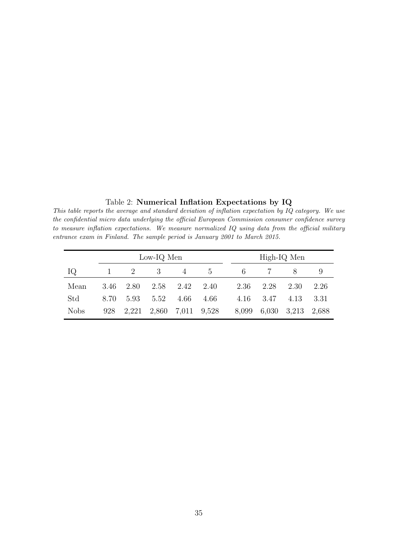<span id="page-36-0"></span>Table 2: Numerical Inflation Expectations by IQ

This table reports the average and standard deviation of inflation expectation by IQ category. We use the confidential micro data underlying the official European Commission consumer confidence survey to measure inflation expectations. We measure normalized IQ using data from the official military entrance exam in Finland. The sample period is January 2001 to March 2015.

|             |      |             | Low-IQ Men |                |             |       |       | High-IQ Men |       |
|-------------|------|-------------|------------|----------------|-------------|-------|-------|-------------|-------|
| IQ          |      | $2^{\circ}$ | 3          | $\overline{4}$ | $5^{\circ}$ | 6     |       | $8^{\circ}$ |       |
| Mean        | 3.46 | 2.80        | 2.58       | 2.42           | 2.40        | 2.36  | 2.28  | 2.30        | 2.26  |
| Std         | 8.70 | 5.93        | 5.52       | 4.66           | 4.66        | 4.16  | 3.47  | 4.13        | 3.31  |
| <b>Nobs</b> | 928  | 2.221       | 2,860      | 7,011          | 9,528       | 8,099 | 6,030 | 3,213       | 2.688 |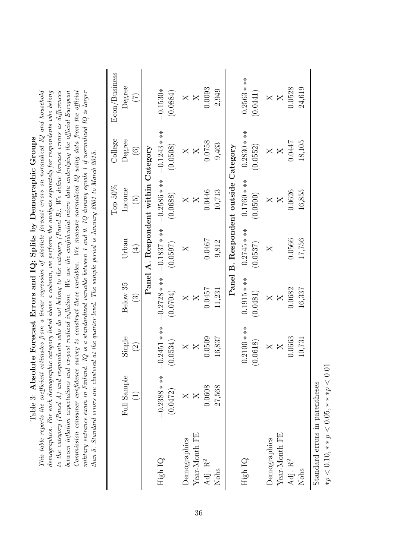| militiary entrance exam in Finland. IQ is a standardized variable between 1 and 9. IQ dummy equals 1 if normalized IQ is larger<br>Commission consumer confidence survey to construct these variables. We measure normalized $IQ$ using data from the official |
|----------------------------------------------------------------------------------------------------------------------------------------------------------------------------------------------------------------------------------------------------------------|
|                                                                                                                                                                                                                                                                |
|                                                                                                                                                                                                                                                                |

<span id="page-37-0"></span>

|                                |                            |                          |                            |                               | Top $50\%$                 | College                    | Econ/Business              |
|--------------------------------|----------------------------|--------------------------|----------------------------|-------------------------------|----------------------------|----------------------------|----------------------------|
|                                | Full Sample                | Single                   | Below 35                   | Urban                         | Income                     | Degree                     | Degree                     |
|                                | $\widehat{\Xi}$            | $\widehat{\mathfrak{S}}$ | $\odot$                    | $\left( \frac{1}{2} \right)$  | $\widehat{5}$              | $\odot$                    | $(\widetilde{\zeta})$      |
|                                |                            |                          |                            | Panel A. Respondent within    |                            | Category                   |                            |
| High IQ                        | $-0.2388$ * **<br>(0.0472) | $0.2451***$<br>0.0534)   | $-0.2728$ * **<br>(0.0704) | $-0.1837$ * **<br>(0.0597)    | $-0.2586$ * **<br>(0.0688) | $-0.1243$ * **<br>(0.0508) | $-0.1530*$<br>(0.0884)     |
| <b>Demographics</b>            |                            | $\overline{\mathsf{X}}$  | $\times$                   | X                             | $\times$                   | X                          | $\times$                   |
| Year-Month FE                  | $\times$                   | X                        |                            |                               | X                          | $\times$                   | $\mathsf{X}$               |
| Adj. R <sup>2</sup>            | 0.0608                     | 0.0509                   | 1.0457                     | 0.0467                        | 0.0446                     | 0.0758                     | 0.0093                     |
| Nobs                           | 27,568                     | 16,837                   | 11,231                     | 9,812                         | 10,713                     | 9,463                      | 2,949                      |
|                                |                            |                          |                            | Panel B. Respondent outside ( |                            | Category                   |                            |
| High IQ                        |                            | $0.2100***$<br>0.0618)   | $-0.1915$ * **<br>(0.0481) | $-0.2745$ * **<br>(0.0537)    | $-0.1760$ * **<br>(0.0500) | $-0.2830$ * **<br>(0.0552) | $-0.2563$ * **<br>(0.0441) |
| Demographics                   |                            | $\times$                 | $\times$                   | X                             | $\times$                   | $\times$                   | $\times$                   |
| Year-Month FE                  |                            | $\mathsf{X}$             | X                          |                               | X                          | $\overline{X}$             | X                          |
| Adj. $\mathbf{R}^2$            |                            | 0.6663                   | 0.682                      | 0.0566                        | 0.0626                     | 0.0447                     | 0.0528                     |
| Nobs                           |                            | 10,731                   | 16,337                     | 17,756                        | 16,855                     | 18,105                     | 24,619                     |
| Standard errors in parentheses |                            |                          |                            |                               |                            |                            |                            |

 $* p < 0.10, ** p < 0.05, ** p < 0.01$ ∗p < 0.10, ∗ ∗ p < 0.05, ∗ ∗ ∗p < 0.01 Standard errors in parentheses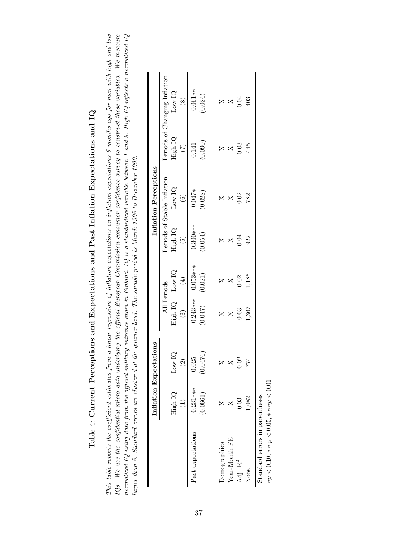| $\zeta$<br>)<br>1                     |
|---------------------------------------|
| $\vdots$<br>くらく                       |
| .<br>.<br>.<br>ľ<br>$\mathbf{I}$<br>ļ |
| ı<br>i                                |
| l<br>ĺ                                |
| てくらく<br>j                             |
| $-20.4$<br>l                          |
| ļ<br>-<br>-<br>-<br>-<br>$\vdots$     |
| ſ                                     |
| .<br>ו<br>!                           |
| $\overline{a}$<br>ζ                   |
| 1<br>)<br>2<br>j<br>١<br>١            |

<span id="page-38-0"></span>This table reports the coefficient estimates from a linear regression of inflation expectation expectations 6 months ago for men with high and low  $IQs$ . We use the confidential micro data underlying the official European Commission consumer confidence survey to construct these variables. We measure normalized IQ using data from the official military entrance exam in Finland. IQ is a standardized variable between 1 and 9. High IQ reflects a normalized IQ This table reports the coefficient estimates from a linear regression of inflations on inflation expectations 6 months ago for men with high and low IQs. We use the confidential micro data underlying the official European Commission consumer confidence survey to construct these variables. We measure normalized IQ using data from the official military entrance exam in Finland. IQ is a standardized variable between 1 and 9. High IQ reflects a normalized IQ larger than 5. Standard errors are clustered at the quarter level. The sample period is March 1995 to December 1999. larger than 5. Standard errors are clustered at the quarter level. The sample period is March 1995 to December 1999.

|                     |            | Inflation Expectations    |                                                            |                         |                                                   | Inflation Perceptions            |                             |                                                                                                                                                                                                                                                                                                           |
|---------------------|------------|---------------------------|------------------------------------------------------------|-------------------------|---------------------------------------------------|----------------------------------|-----------------------------|-----------------------------------------------------------------------------------------------------------------------------------------------------------------------------------------------------------------------------------------------------------------------------------------------------------|
|                     |            |                           |                                                            |                         |                                                   | Periods of Stable Inflation      |                             |                                                                                                                                                                                                                                                                                                           |
|                     | High IQ    | Low $IQ$<br>$\widehat{2}$ | All Perucation $\frac{1}{\log h}$ IQ $\frac{1}{\log h}$ IQ |                         | $\begin{tabular}{c} High IQ \\ (5) \end{tabular}$ | $_{\rm Low~IQ}$<br>$\boxed{(6)}$ |                             | Periods of Changing Inflation High IQ $_{\sim}$ $_{\sim}$ $_{\sim}$ $_{\sim}$ $_{\sim}$ $_{\sim}$ $_{\sim}$ $_{\sim}$ $_{\sim}$ $_{\sim}$ $_{\sim}$ $_{\sim}$ $_{\sim}$ $_{\sim}$ $_{\sim}$ $_{\sim}$ $_{\sim}$ $_{\sim}$ $_{\sim}$ $_{\sim}$ $_{\sim}$ $_{\sim}$ $_{\sim}$ $_{\sim}$ $_{\sim}$ $_{\sim}$ |
| Past expectations   | $0.231***$ | 0.025                     |                                                            | $0.243***$ $0.053***$   | $0.300***$                                        | $0.047*$                         | 0.141                       | $0.061**$                                                                                                                                                                                                                                                                                                 |
|                     | (0.0661)   | (0.0176)                  | (0.047)                                                    | (0.021)                 | (0.054)                                           | (0.028)                          | (0.090)                     | (0.024)                                                                                                                                                                                                                                                                                                   |
| Demographics        |            |                           |                                                            |                         |                                                   |                                  |                             |                                                                                                                                                                                                                                                                                                           |
| Year-Month FE       |            |                           |                                                            |                         | $\times \times \stackrel{3}{\sim}$                |                                  | $\times$ $\times$ 3<br>0.03 |                                                                                                                                                                                                                                                                                                           |
| Adj. $\mathbf{R}^2$ | 0.03       | 0.02                      | $X \times 0.03$<br>.367                                    | $X \times 0.02$<br>1.85 |                                                   | $X \times 32$<br>0.02            |                             | $X \times \overset{1}{\underset{0}{\sim}} 0$                                                                                                                                                                                                                                                              |
| Nobs                | 1,082      | 774                       |                                                            |                         | 922                                               |                                  | 445                         | 403                                                                                                                                                                                                                                                                                                       |

 $* p < 0.10, ** p < 0.05, ** p < 0.01$ ∗p < 0.10, ∗ ∗ p < 0.05, ∗ ∗ ∗p < 0.01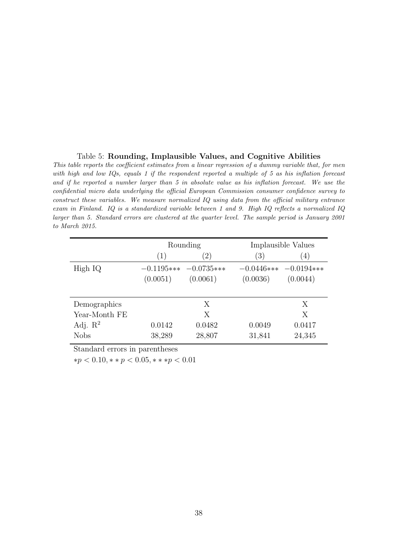#### <span id="page-39-0"></span>Table 5: Rounding, Implausible Values, and Cognitive Abilities

This table reports the coefficient estimates from a linear regression of a dummy variable that, for men with high and low IQs, equals 1 if the respondent reported a multiple of 5 as his inflation forecast and if he reported a number larger than 5 in absolute value as his inflation forecast. We use the confidential micro data underlying the official European Commission consumer confidence survey to construct these variables. We measure normalized IQ using data from the official military entrance exam in Finland. IQ is a standardized variable between 1 and 9. High IQ reflects a normalized IQ larger than 5. Standard errors are clustered at the quarter level. The sample period is January 2001 to March 2015.

|                     |          | Rounding                |          | Implausible Values      |
|---------------------|----------|-------------------------|----------|-------------------------|
|                     | (1)      | (2)                     | (3)      | $\left( 4\right)$       |
| High IQ             |          | $-0.1195*** -0.0735***$ |          | $-0.0446*** -0.0194***$ |
|                     | (0.0051) | (0.0061)                | (0.0036) | (0.0044)                |
|                     |          |                         |          |                         |
| Demographics        |          | X                       |          | Х                       |
| Year-Month FE       |          | Χ                       |          | X                       |
| Adj. $\mathbb{R}^2$ | 0.0142   | 0.0482                  | 0.0049   | 0.0417                  |
| <b>Nobs</b>         | 38,289   | 28,807                  | 31,841   | 24,345                  |

Standard errors in parentheses

∗p < 0.10, ∗ ∗ p < 0.05, ∗ ∗ ∗p < 0.01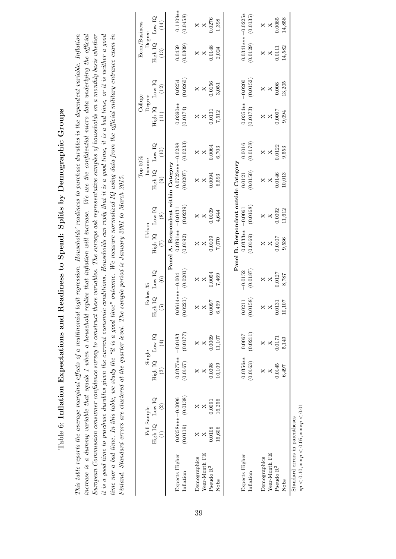Table 6: Inflation Expectations and Readiness to Spend: Splits by Demographic Groups Table 6: Inflation Expectations and Readiness to Spend: Splits by Demographic Groups

increase is a dummy variable that equals 1 when a household replies that inflation will increase. We use the confidential micro data underlying the official it is a good time to purchase durables given the current economic conditions. Households can reply that it is a good time, it is a bad time, or it is neither a good This table reports the average marginal effects of a multinomial logit regression. Households' readiness to purchase durables is the dependent variable. Inflation European Commission consumer confidence survey to construct these variables. The surveys ask representative samples of households on a monthly basis whether time nor a bad time. In this table, we study the "it is a good time" outcome. We measure normalized  $IQ$  using data from the official military entrance exam in This table reports the average marginal effects of a multinomial logit regression. Households' readiness to purchase durables is the dependent variable. Inflation increase is a dummy variable that equals 1 when a household replies that inflation will increase. We use the confidential micro data underlying the official European Commission consumer confidence survey to construct these variables. The surveys ask representative samples of households on a monthly basis whether it is a good time to purchase durables given the current economic conditions. Households can reply that it is a good time, it is a bad time, or it is neither a good time nor a bad time. In this table, we study the "it is a good time" outcome. We measure normalized IQ using data from the official military entrance exam in Finland. Standard errors are clustered at the quarter level. The sample period is January 2001 to March 2015. Finland. Standard errors are clustered at the quarter level. The sample period is January 2001 to March 2015.

<span id="page-40-0"></span>

|                                |                                                                  |                              |                                 |                              |                                 |                          |                                   |               | Top $50\%$                           |          | College                      |                  | Econ/Business       |                         |
|--------------------------------|------------------------------------------------------------------|------------------------------|---------------------------------|------------------------------|---------------------------------|--------------------------|-----------------------------------|---------------|--------------------------------------|----------|------------------------------|------------------|---------------------|-------------------------|
|                                | Full Sample                                                      |                              | Single                          |                              | Below 35                        |                          | Urban                             |               | Income                               |          | Degree                       |                  | Degree              |                         |
|                                | High IQ Low IQ<br>$\left( \begin{matrix} 1 \end{matrix} \right)$ | $\left( \frac{2}{2} \right)$ | High IQ Low IQ<br>$\widehat{c}$ | $\left( \frac{4}{2} \right)$ | High IQ<br>$\widetilde{\omega}$ | Low IQ<br>$\circledcirc$ | High IQ Low IQ<br>$\widetilde{C}$ | $\circledast$ | High IQ Low IQ<br>$\odot$            | (10)     | High IQ<br>$\left(11\right)$ | Low $IQ$<br>(12) | High IQ<br>$(13)$   | $_{\rm Low}$ IQ<br>(14) |
|                                |                                                                  |                              |                                 |                              |                                 |                          |                                   |               | Panel A. Respondent within Category  |          |                              |                  |                     |                         |
| Expects Higher                 | $0.0358***-0.0096$                                               |                              |                                 | $0.0377** - 0.0183$          | $0.0614***-0.004$               |                          | $0.0391** - 0.0131$               |               | $0.0723***-0.0288$                   |          | $0.0390**$                   | 0.0254           | 0.0459              | $0.1109**$              |
| Inflation                      | (0.0119)                                                         | (0.0138)                     | (0.0167)                        | (0.0177)                     | (0.0221)                        | (0.0201)                 | (0.0192)                          | (0.0239)      | (0.0207)                             | (0.0233) | (0.0174)                     | (0.0260)         | (0.0309)            | (0.0458)                |
| Demographics                   |                                                                  |                              |                                 |                              | $\times$                        |                          |                                   |               |                                      |          |                              |                  | ×                   |                         |
| Year-Month FE                  |                                                                  |                              |                                 |                              | $\times$                        | $\times$                 | $\times$                          | $\times$      | X                                    | $\times$ | X                            | X                | X                   | $\times$                |
| Pseudo R <sup>2</sup>          | 0.0108                                                           | 0.009                        | 0.0098                          | 0.0069                       | 0.0097                          | 0.0054                   | 0.0109                            | 0.0109        | 0.0094                               | 0.0064   | 0.0131                       | 0.0156           | 0.0148              | 0.0276                  |
| Nobs                           | 16,606                                                           | 16,256                       | 10,109                          | 11,107                       | 6,499                           | 7,469                    | 7,070                             | 4,644         | 6,593                                | 6,703    | 7,512                        | 3,051            | 2,024               | 1,398                   |
|                                |                                                                  |                              |                                 |                              |                                 |                          |                                   |               |                                      |          |                              |                  |                     |                         |
|                                |                                                                  |                              |                                 |                              |                                 |                          |                                   |               | Panel B. Respondent outside Category |          |                              |                  |                     |                         |
| Expects Higher                 |                                                                  |                              | $0.0356**$                      | 0.0067                       | 0.0211                          | $-0.0152$                | $0.0333** -0.0061$                |               | 0.0121                               | 0.0016   | $0.0354**$                   | $-0.0200$        | $0.0341***-0.0225*$ |                         |
| Inflation                      |                                                                  |                              | (0.0163)                        | (0.0211)                     | (0.0158)                        | (0.0187)                 | (0.0169)                          | (0.0168)      | (0.0150)                             | (0.0178) | (0.0173)                     | (0.0152)         | (0.0129)            | (0.0135)                |
| Demographics                   |                                                                  |                              |                                 |                              | $\times$                        |                          |                                   |               |                                      |          |                              |                  | ×                   | X                       |
| Year-Month FE                  |                                                                  |                              |                                 | ×                            |                                 | X                        | X                                 | X             | ×                                    | X        | X                            | ×                | ×                   | $\mathsf{X}$            |
| Pseudo $\mathbf{R}^2$          |                                                                  |                              | 0.0145                          | 0.0171                       | 0.0131                          | 0.0127                   | 0.0107                            | 0.0092        | 0.0146                               | 0.0122   | 0.0007                       | 0.008            | 0.0111              | 0.0085                  |
| Nobs                           |                                                                  |                              | 6,497                           | 5,149                        | 10,107                          | 8,787                    | 9,536                             | 11,612        | 10,013                               | 9,553    | 9,094                        | 13,205           | 14,582              | 14,858                  |
| Standard errors in parentheses |                                                                  |                              |                                 |                              |                                 |                          |                                   |               |                                      |          |                              |                  |                     |                         |

 $* p < 0.10, * * p < 0.05, * * * p < 0.01$ ∗p < 0.10, ∗ ∗ p < 0.05, ∗ ∗ ∗p < 0.01